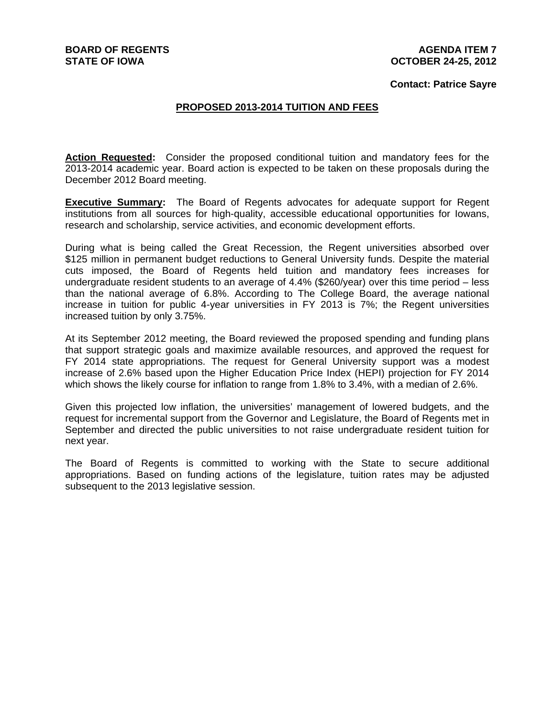### **Contact: Patrice Sayre**

### **PROPOSED 2013-2014 TUITION AND FEES**

**Action Requested:** Consider the proposed conditional tuition and mandatory fees for the 2013-2014 academic year. Board action is expected to be taken on these proposals during the December 2012 Board meeting.

**Executive Summary:** The Board of Regents advocates for adequate support for Regent institutions from all sources for high-quality, accessible educational opportunities for Iowans, research and scholarship, service activities, and economic development efforts.

During what is being called the Great Recession, the Regent universities absorbed over \$125 million in permanent budget reductions to General University funds. Despite the material cuts imposed, the Board of Regents held tuition and mandatory fees increases for undergraduate resident students to an average of 4.4% (\$260/year) over this time period – less than the national average of 6.8%. According to The College Board, the average national increase in tuition for public 4-year universities in FY 2013 is 7%; the Regent universities increased tuition by only 3.75%.

At its September 2012 meeting, the Board reviewed the proposed spending and funding plans that support strategic goals and maximize available resources, and approved the request for FY 2014 state appropriations. The request for General University support was a modest increase of 2.6% based upon the Higher Education Price Index (HEPI) projection for FY 2014 which shows the likely course for inflation to range from 1.8% to 3.4%, with a median of 2.6%.

Given this projected low inflation, the universities' management of lowered budgets, and the request for incremental support from the Governor and Legislature, the Board of Regents met in September and directed the public universities to not raise undergraduate resident tuition for next year.

The Board of Regents is committed to working with the State to secure additional appropriations. Based on funding actions of the legislature, tuition rates may be adjusted subsequent to the 2013 legislative session.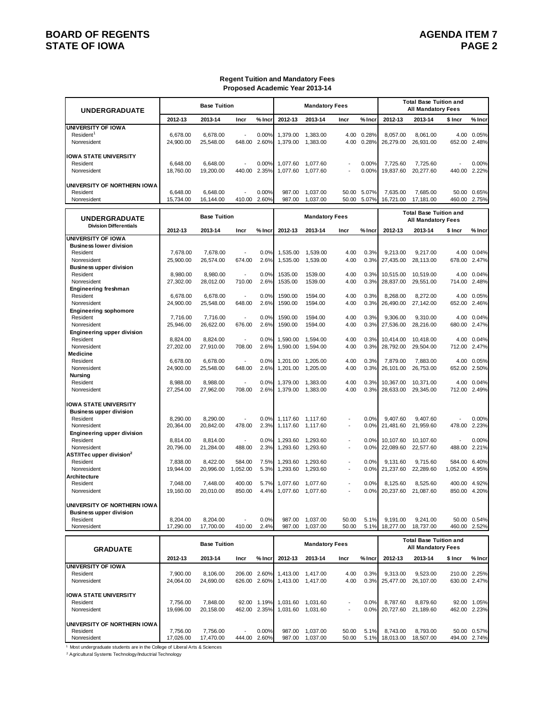## **BOARD OF REGENTS**<br>STATE OF IOWA **AGENDA ITEM 7 STATE OF IOWA**

### **Regent Tuition and Mandatory Fees Proposed Academic Year 2013-14**

| <b>UNDERGRADUATE</b>                             |                       | <b>Base Tuition</b>    |                          |                             |                      | <b>Mandatory Fees</b>                  |                          |                |                        | <b>Total Base Tuition and</b><br>All Mandatory Fees        |                  |                             |
|--------------------------------------------------|-----------------------|------------------------|--------------------------|-----------------------------|----------------------|----------------------------------------|--------------------------|----------------|------------------------|------------------------------------------------------------|------------------|-----------------------------|
|                                                  | 2012-13               | 2013-14                | Incr                     | % Incr                      | 2012-13              | 2013-14                                | Incr                     | % Inci         | 2012-13                | 2013-14                                                    | \$ Incr          | % Incr                      |
| <b>UNIVERSITY OF IOWA</b>                        |                       |                        |                          |                             |                      |                                        |                          |                |                        |                                                            |                  |                             |
| Resident <sup>1</sup><br>Nonresident             | 6,678.00<br>24,900.00 | 6,678.00<br>25,548.00  | 648.00                   | 0.00%<br>2.60%              | 1,379.00<br>1,379.00 | 1,383.00<br>1,383.00                   | 4.00<br>4.00             | 0.28%<br>0.28% | 8,057.00<br>26,279.00  | 8,061.00<br>26,931.00                                      | 4.00<br>652.00   | 0.05%<br>2.48%              |
| <b>IOWA STATE UNIVERSITY</b>                     |                       |                        |                          |                             |                      |                                        |                          |                |                        |                                                            |                  |                             |
| Resident                                         | 6,648.00              | 6,648.00               |                          | 0.00%                       | 1,077.60             | 1,077.60                               |                          | 0.00%          | 7.725.60               | 7,725.60                                                   |                  | 0.00%                       |
| Nonresident                                      | 18,760.00             | 19,200.00              | 440.00                   | 2.35%                       | 1,077.60             | 1,077.60                               |                          | 0.00%          | 19,837.60              | 20,277.60                                                  | 440.00           | 2.22%                       |
| UNIVERSITY OF NORTHERN IOWA                      |                       |                        |                          |                             |                      |                                        |                          |                |                        |                                                            |                  |                             |
| Resident                                         | 6.648.00              | 6,648.00               |                          | 0.00%                       | 987.00               | 1,037.00                               | 50.00                    | 5.07%          | 7,635.00               | 7,685.00                                                   |                  | 50.00 0.65%                 |
| Nonresident                                      | 15,734.00             | 16,144.00              | 410.00                   | 2.60%                       | 987.00               | 1,037.00                               | 50.00                    | 5.07%          | 16,721.00              | 17.181.00                                                  | 460.00           | 2.75%                       |
| <b>UNDERGRADUATE</b>                             |                       | <b>Base Tuition</b>    |                          |                             |                      | <b>Mandatory Fees</b>                  |                          |                |                        | <b>Total Base Tuition and</b><br><b>All Mandatory Fees</b> |                  |                             |
| <b>Division Differentials</b>                    | 2012-13               | 2013-14                | Incr                     | % Incr                      | 2012-13              | 2013-14                                | Incr                     | % Incı         | 2012-13                | 2013-14                                                    | \$ Incr          | % Incr                      |
| UNIVERSITY OF IOWA                               |                       |                        |                          |                             |                      |                                        |                          |                |                        |                                                            |                  |                             |
| <b>Business lower division</b><br>Resident       | 7,678.00              | 7,678.00               |                          | 0.0%                        | 1,535.00             | 1,539.00                               | 4.00                     | 0.3%           | 9.213.00               | 9,217.00                                                   | 4.00             | 0.04%                       |
| Nonresident                                      | 25,900.00             | 26,574.00              | 674.00                   | 2.6%                        | 1,535.00             | 1,539.00                               | 4.00                     | 0.3%           | 27,435.00              | 28,113.00                                                  | 678.00           | 2.47%                       |
| <b>Business upper division</b>                   |                       |                        |                          |                             |                      |                                        |                          |                |                        |                                                            |                  |                             |
| Resident<br>Nonresident                          | 8,980.00<br>27,302.00 | 8.980.00<br>28,012.00  | 710.00                   | 0.0%<br>2.6%                | 1535.00<br>1535.00   | 1539.00<br>1539.00                     | 4.00<br>4.00             | 0.3%<br>0.3%   | 10,515.00<br>28,837.00 | 10,519.00<br>29,551.00                                     | 4.00<br>714.00   | 0.04%<br>2.48%              |
| <b>Engineering freshman</b>                      |                       |                        |                          |                             |                      |                                        |                          |                |                        |                                                            |                  |                             |
| Resident                                         | 6,678.00              | 6,678.00               |                          | 0.0%                        | 1590.00              | 1594.00                                | 4.00                     | 0.3%           | 8.268.00               | 8,272.00                                                   | 4.00             | 0.05%                       |
| Nonresident<br><b>Engineering sophomore</b>      | 24,900.00             | 25,548.00              | 648.00                   | 2.6%                        | 1590.00              | 1594.00                                | 4.00                     | 0.3%           | 26,490.00              | 27,142.00                                                  | 652.00           | 2.46%                       |
| Resident                                         | 7,716.00              | 7,716.00               |                          | 0.0%                        | 1590.00              | 1594.00                                | 4.00                     | 0.3%           | 9,306.00               | 9,310.00                                                   | 4.00             | 0.04%                       |
| Nonresident                                      | 25,946.00             | 26,622.00              | 676.00                   | 2.6%                        | 1590.00              | 1594.00                                | 4.00                     | 0.3%           | 27,536.00              | 28,216.00                                                  | 680.00           | 2.47%                       |
| <b>Engineering upper division</b><br>Resident    | 8,824.00              | 8,824.00               | $\overline{a}$           | 0.0%                        | 1,590.00             | 1,594.00                               | 4.00                     | 0.3%           | 10,414.00              | 10,418.00                                                  | 4.00             | 0.04%                       |
| Nonresident                                      | 27,202.00             | 27,910.00              | 708.00                   | 2.6%                        | 1,590.00             | 1,594.00                               | 4.00                     | 0.3%           | 28,792.00              | 29,504.00                                                  | 712.00           | 2.47%                       |
| Medicine                                         |                       |                        |                          |                             |                      |                                        |                          |                |                        |                                                            |                  |                             |
| Resident                                         | 6,678.00              | 6,678.00               |                          | 0.0%                        | 1,201.00             | 1,205.00                               | 4.00                     | 0.3%           | 7.879.00               | 7,883.00                                                   | 4.00             | 0.05%                       |
| Nonresident<br>Nursing                           | 24,900.00             | 25,548.00              | 648.00                   | 2.6%                        | 1,201.00             | 1,205.00                               | 4.00                     | 0.3%           | 26,101.00              | 26,753.00                                                  | 652.00           | 2.50%                       |
| Resident                                         | 8,988.00              | 8,988.00               |                          | 0.0%                        | 1,379.00             | 1,383.00                               | 4.00                     | 0.3%           | 10,367.00              | 10,371.00                                                  | 4.00             | 0.04%                       |
| Nonresident                                      | 27,254.00             | 27,962.00              | 708.00                   | 2.6%                        | 1,379.00             | 1,383.00                               | 4.00                     | 0.3%           | 28,633.00              | 29,345.00                                                  | 712.00           | 2.49%                       |
| <b>IOWA STATE UNIVERSITY</b>                     |                       |                        |                          |                             |                      |                                        |                          |                |                        |                                                            |                  |                             |
| <b>Business upper division</b>                   |                       |                        |                          |                             |                      |                                        |                          |                |                        |                                                            |                  |                             |
| Resident<br>Nonresident                          | 8,290.00<br>20,364.00 | 8,290.00<br>20,842.00  | 478.00                   | 0.0%<br>2.3%                | 1,117.60<br>1,117.60 | 1,117.60<br>1,117.60                   | $\overline{\phantom{a}}$ | 0.0%<br>0.0%   | 9.407.60<br>21,481.60  | 9,407.60<br>21,959.60                                      | 478.00           | 0.00%<br>2.23%              |
| <b>Engineering upper division</b>                |                       |                        |                          |                             |                      |                                        |                          |                |                        |                                                            |                  |                             |
| Resident                                         | 8,814.00              | 8,814.00               |                          | 0.0%                        | 1,293.60             | 1,293.60                               |                          | 0.0%           | 10,107.60              | 10,107.60                                                  |                  | 0.00%                       |
| Nonresident                                      | 20,796.00             | 21,284.00              | 488.00                   | 2.3%                        | 1,293.60             | 1,293.60                               | $\overline{\phantom{a}}$ | 0.0%           | 22,089.60              | 22,577.60                                                  | 488.00           | 2.21%                       |
| AST/ITec upper division <sup>2</sup><br>Resident | 7,838.00              | 8.422.00               | 584.00                   | 7.5%                        | 1,293.60             | 1,293.60                               | $\blacksquare$           | 0.0%           | 9.131.60               | 9,715.60                                                   | 584.00           | 6.40%                       |
| Nonresident                                      | 19,944.00             | 20,996.00              | 1,052.00                 | 5.3%                        | 1,293.60             | 1,293.60                               | $\overline{\phantom{a}}$ | 0.0%           | 21,237.60              | 22,289.60                                                  | 1,052.00         | 4.95%                       |
| Architecture                                     | 7.048.00              |                        | 400.00                   | 5.7%                        |                      |                                        |                          | 0.0%           |                        |                                                            |                  |                             |
| Resident<br>Nonresident                          | 19,160.00             | 7,448.00<br>20,010.00  | 850.00                   | 4.4%                        | 1,077.60<br>1,077.60 | 1,077.60<br>1,077.60                   |                          | 0.0%           | 8,125.60<br>20,237.60  | 8,525.60<br>21,087.60                                      | 400.00<br>850.00 | 4.92%<br>4.20%              |
|                                                  |                       |                        |                          |                             |                      |                                        |                          |                |                        |                                                            |                  |                             |
| UNIVERSITY OF NORTHERN IOWA                      |                       |                        |                          |                             |                      |                                        |                          |                |                        |                                                            |                  |                             |
| <b>Business upper division</b><br>Resident       | 8,204.00              | 8,204.00               |                          | 0.0%                        | 987.00               | 1,037.00                               | 50.00                    | 5.1%           | 9,191.00               | 9,241.00                                                   |                  | 50.00 0.54%                 |
| Nonresident                                      | 17,290.00             | 17,700.00              | 410.00                   | 2.4%                        | 987.00               | 1,037.00                               | 50.00                    | 5.1%           | 18,277.00              | 18,737.00                                                  | 460.00           | 2.52%                       |
|                                                  |                       | <b>Base Tuition</b>    |                          |                             |                      | <b>Mandatory Fees</b>                  |                          |                |                        | <b>Total Base Tuition and</b>                              |                  |                             |
| <b>GRADUATE</b>                                  |                       |                        |                          |                             |                      |                                        |                          |                |                        | <b>All Mandatory Fees</b>                                  |                  |                             |
|                                                  | 2012-13               | 2013-14                | Incr                     | $%$ Incr                    | 2012-13              | 2013-14                                | Incr                     | % Incr         | 2012-13                | 2013-14                                                    | \$ Incr          | % Incr                      |
| <b>UNIVERSITY OF IOWA</b>                        |                       |                        |                          | 206.00 2.60%                |                      |                                        |                          | 0.3%           |                        |                                                            |                  | 210.00 2.25%                |
| Resident<br>Nonresident                          | 7,900.00<br>24,064.00 | 8,106.00<br>24,690.00  |                          | 626.00 2.60%                | 1,413.00<br>1,413.00 | 1,417.00<br>1,417.00                   | 4.00<br>4.00             | 0.3%           | 9,313.00<br>25,477.00  | 9,523.00<br>26,107.00                                      |                  | 630.00 2.47%                |
|                                                  |                       |                        |                          |                             |                      |                                        |                          |                |                        |                                                            |                  |                             |
| <b>IOWA STATE UNIVERSITY</b>                     |                       |                        |                          |                             |                      |                                        |                          |                |                        |                                                            |                  |                             |
| Resident<br>Nonresident                          | 7,756.00<br>19,696.00 | 7,848.00<br>20, 158.00 |                          | 92.00 1.19%<br>462.00 2.35% |                      | 1,031.60 1,031.60<br>1,031.60 1,031.60 |                          | 0.0%<br>0.0%   | 8,787.60<br>20,727.60  | 8,879.60<br>21,189.60                                      |                  | 92.00 1.05%<br>462.00 2.23% |
|                                                  |                       |                        |                          |                             |                      |                                        |                          |                |                        |                                                            |                  |                             |
| UNIVERSITY OF NORTHERN IOWA                      |                       |                        |                          |                             |                      |                                        |                          |                |                        |                                                            |                  |                             |
| Resident<br>Nonresident                          | 7,756.00<br>17,026.00 | 7,756.00<br>17,470.00  | $\overline{\phantom{a}}$ | 0.00%<br>444.00 2.60%       | 987.00<br>987.00     | 1,037.00<br>1,037.00                   | 50.00<br>50.00           | 5.1%<br>5.1%   | 8,743.00<br>18,013.00  | 8,793.00<br>18,507.00                                      |                  | 50.00 0.57%<br>494.00 2.74% |
|                                                  |                       |                        |                          |                             |                      |                                        |                          |                |                        |                                                            |                  |                             |

1 Most undergraduate students are in the College of Liberal Arts & Sciences

2 Agricultural Systems Technology/Inductrial Technology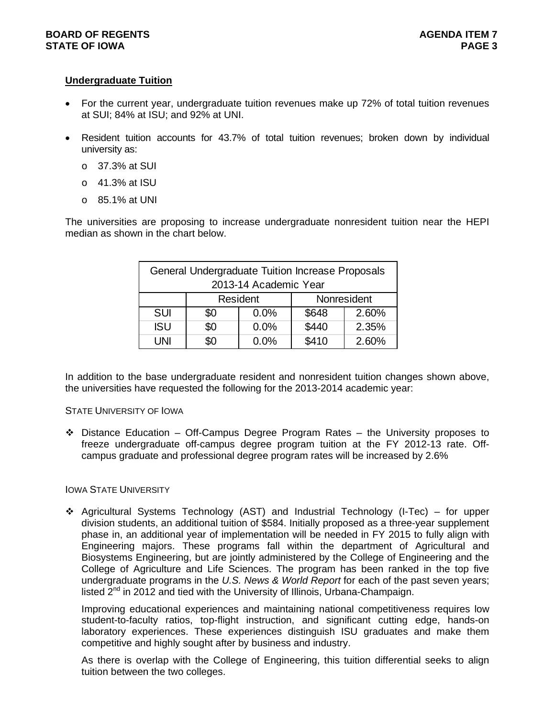## **Undergraduate Tuition**

- For the current year, undergraduate tuition revenues make up 72% of total tuition revenues at SUI; 84% at ISU; and 92% at UNI.
- Resident tuition accounts for 43.7% of total tuition revenues; broken down by individual university as:
	- o 37.3% at SUI
	- o 41.3% at ISU
	- o 85.1% at UNI

The universities are proposing to increase undergraduate nonresident tuition near the HEPI median as shown in the chart below.

|            |     | General Undergraduate Tuition Increase Proposals<br>2013-14 Academic Year |       |             |
|------------|-----|---------------------------------------------------------------------------|-------|-------------|
|            |     | Resident                                                                  |       | Nonresident |
| <b>SUI</b> | \$0 | 0.0%                                                                      | \$648 | 2.60%       |
| <b>ISU</b> | \$0 | 0.0%                                                                      | \$440 | 2.35%       |
| l INI      | ßΩ  | $0.0\%$                                                                   | \$410 | 2.60%       |

In addition to the base undergraduate resident and nonresident tuition changes shown above, the universities have requested the following for the 2013-2014 academic year:

### STATE UNIVERSITY OF IOWA

 $\div$  Distance Education – Off-Campus Degree Program Rates – the University proposes to freeze undergraduate off-campus degree program tuition at the FY 2012-13 rate. Offcampus graduate and professional degree program rates will be increased by 2.6%

### IOWA STATE UNIVERSITY

 $\div$  Agricultural Systems Technology (AST) and Industrial Technology (I-Tec) – for upper division students, an additional tuition of \$584. Initially proposed as a three-year supplement phase in, an additional year of implementation will be needed in FY 2015 to fully align with Engineering majors. These programs fall within the department of Agricultural and Biosystems Engineering, but are jointly administered by the College of Engineering and the College of Agriculture and Life Sciences. The program has been ranked in the top five undergraduate programs in the *U.S. News & World Report* for each of the past seven years; listed  $2^{nd}$  in 2012 and tied with the University of Illinois, Urbana-Champaign.

Improving educational experiences and maintaining national competitiveness requires low student-to-faculty ratios, top-flight instruction, and significant cutting edge, hands-on laboratory experiences. These experiences distinguish ISU graduates and make them competitive and highly sought after by business and industry.

As there is overlap with the College of Engineering, this tuition differential seeks to align tuition between the two colleges.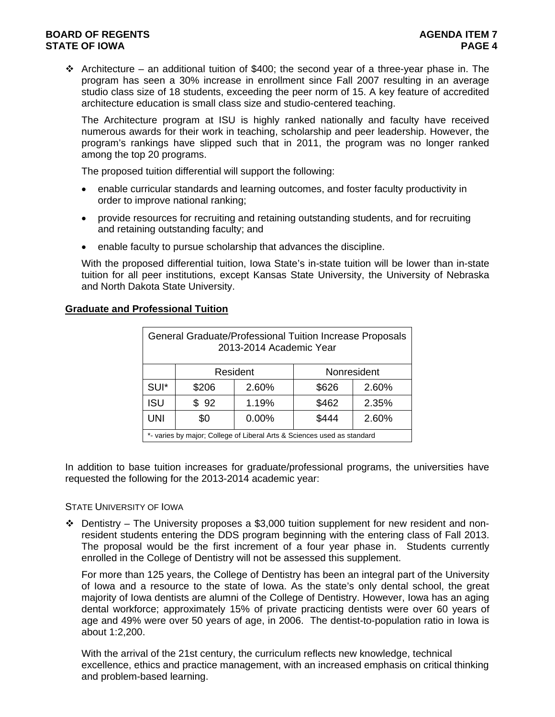## **BOARD OF REGENTS AGENTS** AGENERATION OF REGENTS AGENERATION OF REGENTS AGENERATION OF REGENTS AGENERATION OF REGENTS **STATE OF IOWA** PAGE 4

Architecture – an additional tuition of \$400; the second year of a three-year phase in. The program has seen a 30% increase in enrollment since Fall 2007 resulting in an average studio class size of 18 students, exceeding the peer norm of 15. A key feature of accredited architecture education is small class size and studio-centered teaching.

The Architecture program at ISU is highly ranked nationally and faculty have received numerous awards for their work in teaching, scholarship and peer leadership. However, the program's rankings have slipped such that in 2011, the program was no longer ranked among the top 20 programs.

The proposed tuition differential will support the following:

- enable curricular standards and learning outcomes, and foster faculty productivity in order to improve national ranking;
- provide resources for recruiting and retaining outstanding students, and for recruiting and retaining outstanding faculty; and
- enable faculty to pursue scholarship that advances the discipline.

With the proposed differential tuition, Iowa State's in-state tuition will be lower than in-state tuition for all peer institutions, except Kansas State University, the University of Nebraska and North Dakota State University.

|            |       | 2013-2014 Academic Year | General Graduate/Professional Tuition Increase Proposals                |             |
|------------|-------|-------------------------|-------------------------------------------------------------------------|-------------|
|            |       | Resident                |                                                                         | Nonresident |
| SUI*       | \$206 | 2.60%                   | \$626                                                                   | 2.60%       |
| <b>ISU</b> | \$92  | 1.19%                   | \$462                                                                   | 2.35%       |
| <b>UNI</b> | \$0   | 0.00%                   | \$444                                                                   | 2.60%       |
|            |       |                         | *- varies by major; College of Liberal Arts & Sciences used as standard |             |

## **Graduate and Professional Tuition**

In addition to base tuition increases for graduate/professional programs, the universities have requested the following for the 2013-2014 academic year:

### STATE UNIVERSITY OF IOWA

 $\div$  Dentistry – The University proposes a \$3,000 tuition supplement for new resident and nonresident students entering the DDS program beginning with the entering class of Fall 2013. The proposal would be the first increment of a four year phase in. Students currently enrolled in the College of Dentistry will not be assessed this supplement.

For more than 125 years, the College of Dentistry has been an integral part of the University of Iowa and a resource to the state of Iowa. As the state's only dental school, the great majority of Iowa dentists are alumni of the College of Dentistry. However, Iowa has an aging dental workforce; approximately 15% of private practicing dentists were over 60 years of age and 49% were over 50 years of age, in 2006. The dentist-to-population ratio in Iowa is about 1:2,200.

With the arrival of the 21st century, the curriculum reflects new knowledge, technical excellence, ethics and practice management, with an increased emphasis on critical thinking and problem-based learning.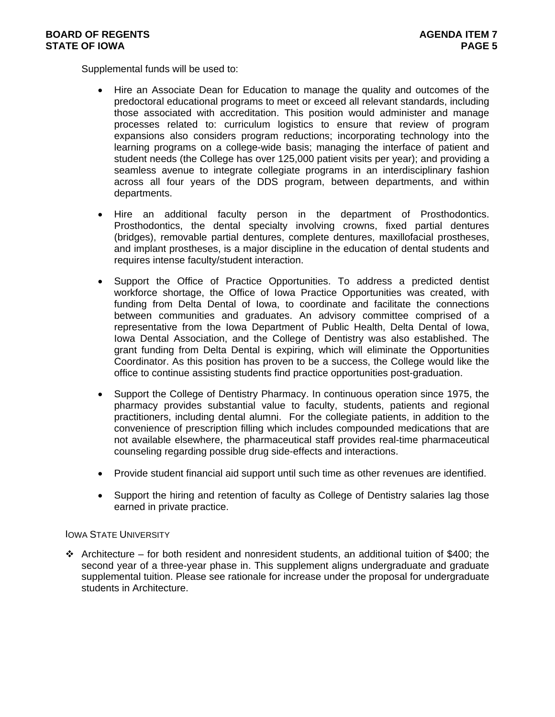Supplemental funds will be used to:

- Hire an Associate Dean for Education to manage the quality and outcomes of the predoctoral educational programs to meet or exceed all relevant standards, including those associated with accreditation. This position would administer and manage processes related to: curriculum logistics to ensure that review of program expansions also considers program reductions; incorporating technology into the learning programs on a college-wide basis; managing the interface of patient and student needs (the College has over 125,000 patient visits per year); and providing a seamless avenue to integrate collegiate programs in an interdisciplinary fashion across all four years of the DDS program, between departments, and within departments.
- Hire an additional faculty person in the department of Prosthodontics. Prosthodontics, the dental specialty involving crowns, fixed partial dentures (bridges), removable partial dentures, complete dentures, maxillofacial prostheses, and implant prostheses, is a major discipline in the education of dental students and requires intense faculty/student interaction.
- Support the Office of Practice Opportunities. To address a predicted dentist workforce shortage, the Office of Iowa Practice Opportunities was created, with funding from Delta Dental of Iowa, to coordinate and facilitate the connections between communities and graduates. An advisory committee comprised of a representative from the Iowa Department of Public Health, Delta Dental of Iowa, Iowa Dental Association, and the College of Dentistry was also established. The grant funding from Delta Dental is expiring, which will eliminate the Opportunities Coordinator. As this position has proven to be a success, the College would like the office to continue assisting students find practice opportunities post-graduation.
- Support the College of Dentistry Pharmacy. In continuous operation since 1975, the pharmacy provides substantial value to faculty, students, patients and regional practitioners, including dental alumni. For the collegiate patients, in addition to the convenience of prescription filling which includes compounded medications that are not available elsewhere, the pharmaceutical staff provides real-time pharmaceutical counseling regarding possible drug side-effects and interactions.
- Provide student financial aid support until such time as other revenues are identified.
- Support the hiring and retention of faculty as College of Dentistry salaries lag those earned in private practice.

### IOWA STATE UNIVERSITY

 $\cdot \cdot$  Architecture – for both resident and nonresident students, an additional tuition of \$400; the second year of a three-year phase in. This supplement aligns undergraduate and graduate supplemental tuition. Please see rationale for increase under the proposal for undergraduate students in Architecture.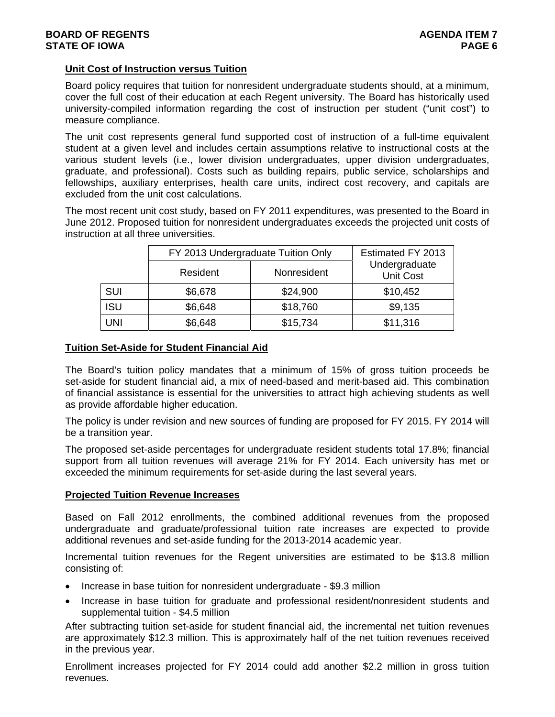## **Unit Cost of Instruction versus Tuition**

Board policy requires that tuition for nonresident undergraduate students should, at a minimum, cover the full cost of their education at each Regent university. The Board has historically used university-compiled information regarding the cost of instruction per student ("unit cost") to measure compliance.

The unit cost represents general fund supported cost of instruction of a full-time equivalent student at a given level and includes certain assumptions relative to instructional costs at the various student levels (i.e., lower division undergraduates, upper division undergraduates, graduate, and professional). Costs such as building repairs, public service, scholarships and fellowships, auxiliary enterprises, health care units, indirect cost recovery, and capitals are excluded from the unit cost calculations.

The most recent unit cost study, based on FY 2011 expenditures, was presented to the Board in June 2012. Proposed tuition for nonresident undergraduates exceeds the projected unit costs of instruction at all three universities.

|            | FY 2013 Undergraduate Tuition Only |             | Estimated FY 2013                 |
|------------|------------------------------------|-------------|-----------------------------------|
|            | Resident                           | Nonresident | Undergraduate<br><b>Unit Cost</b> |
| <b>SUI</b> | \$6,678                            | \$24,900    | \$10,452                          |
| <b>ISU</b> | \$6,648                            | \$18,760    | \$9,135                           |
| UNI        | \$6,648                            | \$15,734    | \$11,316                          |

## **Tuition Set-Aside for Student Financial Aid**

The Board's tuition policy mandates that a minimum of 15% of gross tuition proceeds be set-aside for student financial aid, a mix of need-based and merit-based aid. This combination of financial assistance is essential for the universities to attract high achieving students as well as provide affordable higher education.

The policy is under revision and new sources of funding are proposed for FY 2015. FY 2014 will be a transition year.

The proposed set-aside percentages for undergraduate resident students total 17.8%; financial support from all tuition revenues will average 21% for FY 2014. Each university has met or exceeded the minimum requirements for set-aside during the last several years.

### **Projected Tuition Revenue Increases**

Based on Fall 2012 enrollments, the combined additional revenues from the proposed undergraduate and graduate/professional tuition rate increases are expected to provide additional revenues and set-aside funding for the 2013-2014 academic year.

Incremental tuition revenues for the Regent universities are estimated to be \$13.8 million consisting of:

- Increase in base tuition for nonresident undergraduate \$9.3 million
- Increase in base tuition for graduate and professional resident/nonresident students and supplemental tuition - \$4.5 million

After subtracting tuition set-aside for student financial aid, the incremental net tuition revenues are approximately \$12.3 million. This is approximately half of the net tuition revenues received in the previous year.

Enrollment increases projected for FY 2014 could add another \$2.2 million in gross tuition revenues.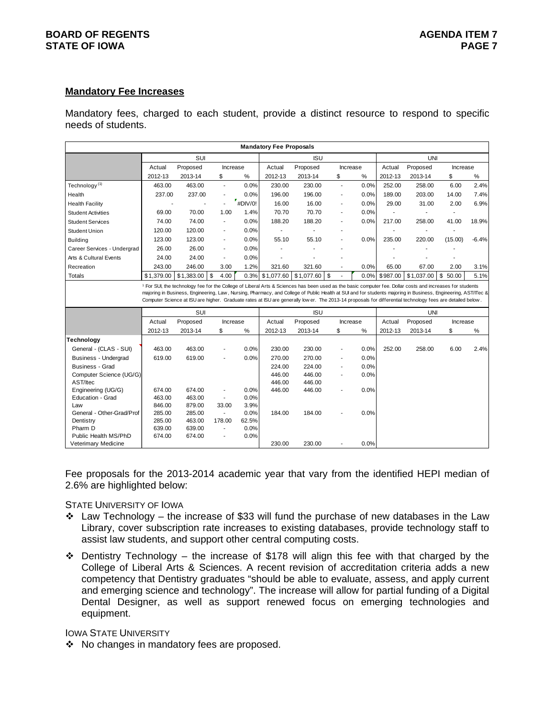## **BOARD OF REGENTS AGENTS** AGENDA ITEM 7 **STATE OF IOWA** PAGE 7

### **Mandatory Fee Increases**

Mandatory fees, charged to each student, provide a distinct resource to respond to specific needs of students.

|                             |                  |                                                                                                                                                                                                                                                                                                                                    |                          |                    | <b>Mandatory Fee Proposals</b> |            |                          |      |          |            |          |         |
|-----------------------------|------------------|------------------------------------------------------------------------------------------------------------------------------------------------------------------------------------------------------------------------------------------------------------------------------------------------------------------------------------|--------------------------|--------------------|--------------------------------|------------|--------------------------|------|----------|------------|----------|---------|
|                             |                  | SUI                                                                                                                                                                                                                                                                                                                                |                          |                    |                                | <b>ISU</b> |                          |      |          | <b>UNI</b> |          |         |
|                             | Actual           | Proposed                                                                                                                                                                                                                                                                                                                           | Increase                 |                    | Actual                         | Proposed   | Increase                 |      | Actual   | Proposed   | Increase |         |
|                             | 2012-13          | 2013-14                                                                                                                                                                                                                                                                                                                            | \$                       | %                  | 2012-13                        | 2013-14    | \$                       | %    | 2012-13  | 2013-14    | \$       | $\%$    |
| Technology <sup>(1)</sup>   | 463.00           | 463.00                                                                                                                                                                                                                                                                                                                             | $\blacksquare$           | 0.0%               | 230.00                         | 230.00     | $\blacksquare$           | 0.0% | 252.00   | 258.00     | 6.00     | 2.4%    |
| Health                      | 237.00           | 237.00                                                                                                                                                                                                                                                                                                                             | ٠                        | 0.0%               | 196.00                         | 196.00     | $\overline{a}$           | 0.0% | 189.00   | 203.00     | 14.00    | 7.4%    |
| <b>Health Facility</b>      |                  |                                                                                                                                                                                                                                                                                                                                    |                          | $r_{\rm \#DIV/0!}$ | 16.00                          | 16.00      | $\overline{\phantom{a}}$ | 0.0% | 29.00    | 31.00      | 2.00     | 6.9%    |
| <b>Student Activities</b>   | 69.00            | 70.00                                                                                                                                                                                                                                                                                                                              | 1.00                     | 1.4%               | 70.70                          | 70.70      | L,                       | 0.0% |          |            |          |         |
| <b>Student Services</b>     | 74.00            | 74.00                                                                                                                                                                                                                                                                                                                              | $\overline{\phantom{a}}$ | 0.0%               | 188.20                         | 188.20     | $\overline{\phantom{a}}$ | 0.0% | 217.00   | 258.00     | 41.00    | 18.9%   |
| <b>Student Union</b>        | 120.00           | 120.00                                                                                                                                                                                                                                                                                                                             |                          | 0.0%               |                                |            |                          |      |          |            |          |         |
| <b>Building</b>             | 123.00           | 123.00                                                                                                                                                                                                                                                                                                                             | ٠                        | 0.0%               | 55.10                          | 55.10      |                          | 0.0% | 235.00   | 220.00     | (15.00)  | $-6.4%$ |
| Career Services - Undergrad | 26.00            | 26.00                                                                                                                                                                                                                                                                                                                              | $\blacksquare$           | 0.0%               |                                |            |                          |      |          |            |          |         |
| Arts & Cultural Events      | 24.00            | 24.00                                                                                                                                                                                                                                                                                                                              | $\overline{\phantom{a}}$ | 0.0%               |                                |            |                          |      |          |            |          |         |
| Recreation                  | 243.00           | 246.00                                                                                                                                                                                                                                                                                                                             | 3.00                     | 1.2%               | 321.60                         | 321.60     |                          | 0.0% | 65.00    | 67.00      | 2.00     | 3.1%    |
| Totals                      | \$1.379.00       | $$1,383.00$ \ \$                                                                                                                                                                                                                                                                                                                   | 4.00                     | 0.3%               | \$1,077.60                     | \$1.077.60 | \$                       | 0.0% | \$987.00 | \$1.037.00 | \$50.00  | 5.1%    |
|                             |                  | majoring in Business, Engineering, Law, Nursing, Pharmacy, and College of Public Health at SUI and for students majoring in Business, Engineering, AST/ITec &<br>Computer Science at ISU are higher. Graduate rates at ISU are generally low er. The 2013-14 proposals for differential technology fees are detailed below.<br>SUI |                          |                    |                                | <b>ISU</b> |                          |      |          | UNI        |          |         |
|                             | Actual           | Proposed                                                                                                                                                                                                                                                                                                                           | Increase                 |                    | Actual                         | Proposed   | Increase                 |      | Actual   | Proposed   | Increase |         |
|                             | 2012-13          | 2013-14                                                                                                                                                                                                                                                                                                                            | \$                       | $\%$               | 2012-13                        | 2013-14    | \$                       | %    | 2012-13  | 2013-14    | \$       | $\%$    |
| <b>Technology</b>           |                  |                                                                                                                                                                                                                                                                                                                                    |                          |                    |                                |            |                          |      |          |            |          |         |
| General - (CLAS - SUI)      | 463.00           | 463.00                                                                                                                                                                                                                                                                                                                             |                          | 0.0%               | 230.00                         | 230.00     | Ĭ.                       | 0.0% | 252.00   | 258.00     | 6.00     | 2.4%    |
| <b>Business - Undergrad</b> | 619.00           | 619.00                                                                                                                                                                                                                                                                                                                             |                          | 0.0%               | 270.00                         | 270.00     | $\overline{a}$           | 0.0% |          |            |          |         |
| Business - Grad             |                  |                                                                                                                                                                                                                                                                                                                                    |                          |                    | 224.00                         | 224.00     | L,                       | 0.0% |          |            |          |         |
| Computer Science (UG/G)     |                  |                                                                                                                                                                                                                                                                                                                                    |                          |                    | 446.00                         | 446.00     | $\overline{a}$           | 0.0% |          |            |          |         |
| AST/Itec                    |                  |                                                                                                                                                                                                                                                                                                                                    |                          |                    | 446.00                         | 446.00     |                          |      |          |            |          |         |
| Engineering (UG/G)          | 674.00           | 674.00                                                                                                                                                                                                                                                                                                                             | $\overline{\phantom{0}}$ | 0.0%               | 446.00                         | 446.00     |                          | 0.0% |          |            |          |         |
| Education - Grad            | 463.00           | 463.00                                                                                                                                                                                                                                                                                                                             | $\blacksquare$           | 0.0%               |                                |            |                          |      |          |            |          |         |
| Law                         | 846.00           | 879.00                                                                                                                                                                                                                                                                                                                             | 33.00                    | 3.9%               |                                |            |                          |      |          |            |          |         |
| General - Other-Grad/Prof   | 285.00<br>285.00 | 285.00<br>463.00                                                                                                                                                                                                                                                                                                                   | $\blacksquare$<br>178.00 | 0.0%<br>62.5%      | 184.00                         | 184.00     |                          | 0.0% |          |            |          |         |
| Dentistry<br>Pharm D        | 639.00           | 639.00                                                                                                                                                                                                                                                                                                                             | $\overline{\phantom{a}}$ | 0.0%               |                                |            |                          |      |          |            |          |         |
| Public Health MS/PhD        | 674.00           | 674.00                                                                                                                                                                                                                                                                                                                             | $\overline{\phantom{a}}$ | 0.0%               |                                |            |                          |      |          |            |          |         |
| Veterimary Medicine         |                  |                                                                                                                                                                                                                                                                                                                                    |                          |                    | 230.00                         | 230.00     |                          | 0.0% |          |            |          |         |

Fee proposals for the 2013-2014 academic year that vary from the identified HEPI median of 2.6% are highlighted below:

STATE UNIVERSITY OF IOWA

- $\div$  Law Technology the increase of \$33 will fund the purchase of new databases in the Law Library, cover subscription rate increases to existing databases, provide technology staff to assist law students, and support other central computing costs.
- Dentistry Technology the increase of \$178 will align this fee with that charged by the College of Liberal Arts & Sciences. A recent revision of accreditation criteria adds a new competency that Dentistry graduates "should be able to evaluate, assess, and apply current and emerging science and technology". The increase will allow for partial funding of a Digital Dental Designer, as well as support renewed focus on emerging technologies and equipment.

### IOWA STATE UNIVERSITY

❖ No changes in mandatory fees are proposed.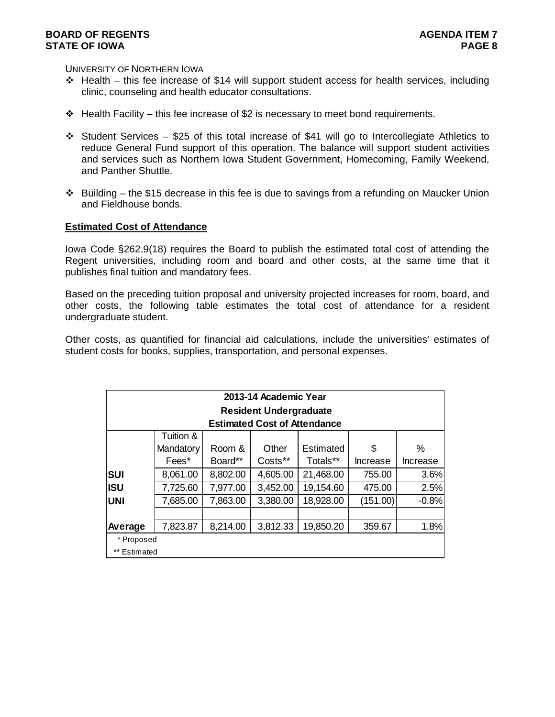UNIVERSITY OF NORTHERN IOWA

- $\div$  Health this fee increase of \$14 will support student access for health services, including clinic, counseling and health educator consultations.
- $\div$  Health Facility this fee increase of \$2 is necessary to meet bond requirements.
- $\div$  Student Services \$25 of this total increase of \$41 will go to Intercollegiate Athletics to reduce General Fund support of this operation. The balance will support student activities and services such as Northern Iowa Student Government, Homecoming, Family Weekend, and Panther Shuttle.
- $\cdot \cdot$  Building the \$15 decrease in this fee is due to savings from a refunding on Maucker Union and Fieldhouse bonds.

### **Estimated Cost of Attendance**

Iowa Code §262.9(18) requires the Board to publish the estimated total cost of attending the Regent universities, including room and board and other costs, at the same time that it publishes final tuition and mandatory fees.

Based on the preceding tuition proposal and university projected increases for room, board, and other costs, the following table estimates the total cost of attendance for a resident undergraduate student.

Other costs, as quantified for financial aid calculations, include the universities' estimates of student costs for books, supplies, transportation, and personal expenses.

|              |           |          | 2013-14 Academic Year               |           |                 |          |
|--------------|-----------|----------|-------------------------------------|-----------|-----------------|----------|
|              |           |          | <b>Resident Undergraduate</b>       |           |                 |          |
|              |           |          | <b>Estimated Cost of Attendance</b> |           |                 |          |
|              | Tuition & |          |                                     |           |                 |          |
|              | Mandatory | Room &   | Other                               | Estimated | \$              | ℅        |
|              | Fees*     | Board**  | Costs**                             | Totals**  | <b>Increase</b> | Increase |
| <b>SUI</b>   | 8,061.00  | 8,802.00 | 4,605.00                            | 21,468.00 | 755.00          | 3.6%     |
| <b>ISU</b>   | 7,725.60  | 7,977.00 | 3,452.00                            | 19,154.60 | 475.00          | 2.5%     |
| <b>UNI</b>   | 7,685.00  | 7,863.00 | 3,380.00                            | 18,928.00 | (151.00)        | $-0.8%$  |
|              |           |          |                                     |           |                 |          |
| Average      | 7,823.87  | 8,214.00 | 3,812.33                            | 19,850.20 | 359.67          | 1.8%     |
| * Proposed   |           |          |                                     |           |                 |          |
| ** Estimated |           |          |                                     |           |                 |          |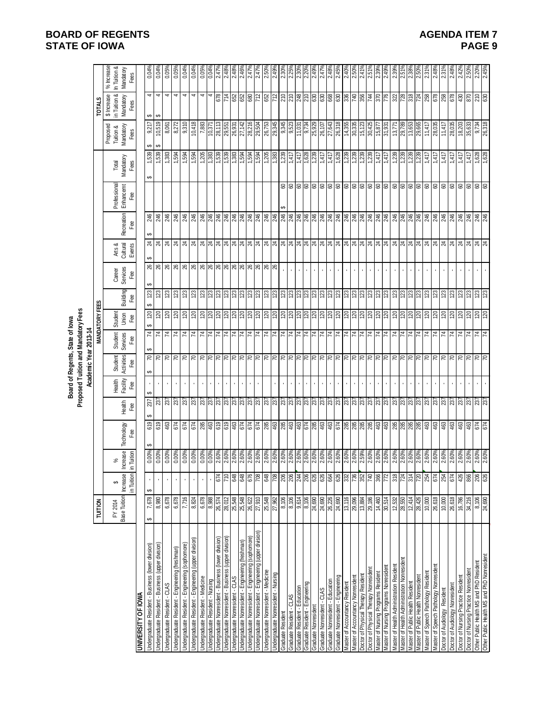|                                                          |                            |                                           |                                     |                                                                                                                                                                                                                                                                                                                     |                                            |                           | Proposed Tuition and Mandatory Fees<br>Board of Regents, State of lowa |                                            |                         |                 |                           |                              |                  |                                  |                                                                          |                                                                                        |                                                                                                                    |                                                 |
|----------------------------------------------------------|----------------------------|-------------------------------------------|-------------------------------------|---------------------------------------------------------------------------------------------------------------------------------------------------------------------------------------------------------------------------------------------------------------------------------------------------------------------|--------------------------------------------|---------------------------|------------------------------------------------------------------------|--------------------------------------------|-------------------------|-----------------|---------------------------|------------------------------|------------------|----------------------------------|--------------------------------------------------------------------------|----------------------------------------------------------------------------------------|--------------------------------------------------------------------------------------------------------------------|-------------------------------------------------|
|                                                          | TUITION                    |                                           |                                     |                                                                                                                                                                                                                                                                                                                     |                                            |                           | Academic Year 2013-14                                                  |                                            | <b>MANDATORY FEES</b>   |                 |                           |                              |                  |                                  |                                                                          |                                                                                        | <b>TOTALS</b>                                                                                                      |                                                 |
|                                                          | Base Tuition<br>FY 2014    | in Tuition<br><b>Increase</b><br>↮        | <b>Increase</b><br>in Tuition<br>వ్ | Technology<br>Fæ                                                                                                                                                                                                                                                                                                    | Heath<br>Fee                               | Health<br>Facility<br>Fee | Activities<br>Student<br>Fee                                           | Student<br>Services<br>Fee                 | Student<br>Union<br>Fee | Building<br>Fee | Career<br>Services<br>Fee | Arts &<br>Cultural<br>Events | Recreation<br>Fæ | Professional<br>Enhancemt<br>Fee | Mandatory<br>Total<br>Fees                                               | Proposed<br>Tuition &<br>Mandatory<br>Fees                                             | in Tuition &<br>\$ Increase<br>Mandatory<br>Fees                                                                   | % Increase<br>In Tuition &<br>Mandatory<br>Fees |
| <b>UNIVERSITY OF IOWA</b>                                |                            |                                           |                                     |                                                                                                                                                                                                                                                                                                                     |                                            |                           |                                                                        |                                            |                         |                 |                           |                              |                  |                                  |                                                                          |                                                                                        |                                                                                                                    |                                                 |
| Indergraduate Resident - Business (lower division)       | 7,678<br>↮                 | ↮                                         | 0.00%                               | 619                                                                                                                                                                                                                                                                                                                 | 237                                        |                           | $\mathcal{L}$<br>↮                                                     | 4<br>GA                                    | 120<br>69               | ↮<br>123<br>↮   | 26                        | ↮<br>$\overline{24}$         | 246              |                                  | 1,539<br>↮                                                               | 9,217<br>↮                                                                             | 4<br>$\pmb{\varphi}$                                                                                               | 0.04%                                           |
| Indergraduate Resident - Business (upper division)       | 8,980                      |                                           | 0.00%                               | 619                                                                                                                                                                                                                                                                                                                 | 237                                        |                           |                                                                        | $\mathcal{L}$                              |                         | 123             |                           |                              | 246              |                                  | 539                                                                      | 10,519<br>€                                                                            | $\blacktriangleleft$<br>↔                                                                                          | 0.04%                                           |
| Jndergraduate Resident - CLAS                            | 6,678                      |                                           | 0.00%                               |                                                                                                                                                                                                                                                                                                                     |                                            |                           |                                                                        | $\mathbf{z}$                               |                         | 123             |                           |                              | 246              |                                  |                                                                          | 8,061                                                                                  | 4                                                                                                                  | 0.05%                                           |
| Jndergraduate Resident - Engineering (freshman)          | 6,678                      |                                           | 0.00%                               | 463<br>674                                                                                                                                                                                                                                                                                                          |                                            |                           | RRR                                                                    |                                            | 2822                    |                 |                           |                              | 246              |                                  | $\frac{168}{168}$                                                        | 8,272                                                                                  | $\blacktriangleleft$                                                                                               | 0.05%                                           |
| Indergraduate Resident - Engineering (sophomore)         | 7,716                      |                                           | 0.00%                               |                                                                                                                                                                                                                                                                                                                     |                                            |                           |                                                                        |                                            |                         | 123             |                           |                              | 246              |                                  |                                                                          | 9,310                                                                                  | $\blacktriangleleft$                                                                                               | 0.04%                                           |
| Indergraduate Resident - Engineering (upper division     | 8,824                      |                                           | 0.00%                               | 674                                                                                                                                                                                                                                                                                                                 |                                            |                           | $\approx$                                                              | <u>  प्र  प्र  प्र  प्र  प्र  प्र  प्र</u> |                         | 123             |                           |                              | 246              |                                  |                                                                          | 10,418                                                                                 | 4                                                                                                                  | 0.04%                                           |
| Jndergraduate Resident - Medicine                        | 6,678                      |                                           | 0.00%                               | 86<br>463                                                                                                                                                                                                                                                                                                           |                                            |                           |                                                                        |                                            |                         | 123             |                           |                              | 246              |                                  |                                                                          | 7,883                                                                                  | 4                                                                                                                  | 0.05%                                           |
| Indergraduate Resident - Nursing                         | 8,988                      |                                           | 0.00%                               |                                                                                                                                                                                                                                                                                                                     |                                            |                           |                                                                        |                                            |                         | 123             |                           |                              | 246              |                                  |                                                                          | 10,371                                                                                 | 4                                                                                                                  | 0.04%                                           |
| Indergraduate Nonresident - Business (lower division)    | 26,574                     | 674                                       |                                     |                                                                                                                                                                                                                                                                                                                     |                                            | $\mathbf{r}$              |                                                                        |                                            |                         |                 |                           |                              |                  |                                  |                                                                          |                                                                                        |                                                                                                                    | 2.47%                                           |
| Jndergraduate Nonresident - Business (upper division)    |                            | 710                                       |                                     |                                                                                                                                                                                                                                                                                                                     |                                            | $\mathbf{r}$              |                                                                        |                                            |                         |                 |                           |                              |                  |                                  |                                                                          |                                                                                        |                                                                                                                    | 2.48%                                           |
| Indergraduate Nonresident - CLAS                         | 28,012<br>25,548<br>25,548 | 648                                       | $\frac{8}{100}$                     | $\frac{1}{2}$ $\frac{1}{2}$ $\frac{1}{2}$ $\frac{1}{2}$ $\frac{1}{2}$ $\frac{1}{2}$ $\frac{1}{2}$ $\frac{1}{2}$ $\frac{1}{2}$ $\frac{1}{2}$ $\frac{1}{2}$ $\frac{1}{2}$ $\frac{1}{2}$ $\frac{1}{2}$ $\frac{1}{2}$ $\frac{1}{2}$ $\frac{1}{2}$ $\frac{1}{2}$ $\frac{1}{2}$ $\frac{1}{2}$ $\frac{1}{2}$ $\frac{1}{2}$ |                                            |                           |                                                                        |                                            |                         | ន្ទ្រន្ទ្រន្ទ្រ |                           |                              |                  |                                  |                                                                          | $\frac{12}{8}$<br>$\frac{12}{8}$<br>$\frac{12}{8}$<br>$\frac{12}{8}$<br>$\frac{12}{8}$ | <u>ြိုင် ဖြံ့ဖြံ့မြိုင် ဖြံ့မြိုင် မြို့မြို့မြို့မြို့ဖြံ့ဖြံ့ဖြံ့ဖြံ့မြို့မြို့မြို့မြို့မြို့ဖြံ့ဖြံ့ဖြံ့ဖြ</u> | 2.48%                                           |
| Indergraduate Nonresident - Engineering (freshman)       |                            | 848                                       |                                     |                                                                                                                                                                                                                                                                                                                     |                                            |                           |                                                                        |                                            |                         |                 |                           |                              |                  |                                  |                                                                          |                                                                                        |                                                                                                                    | 2.469                                           |
| Indergraduate Nonresident - Engineering (sophomore)      | 26,622                     | 876                                       | 2.60%                               |                                                                                                                                                                                                                                                                                                                     |                                            | $\mathbf{r}$              |                                                                        |                                            |                         |                 |                           |                              |                  |                                  |                                                                          | 8,304 50 50 50 60 60 60 60 60 70 60 70 70 71                                           |                                                                                                                    | $2.47^{\circ}$                                  |
| Indergraduate Nonresident - Engineering (upper division) | 27,910                     | 802                                       | 2.60%                               |                                                                                                                                                                                                                                                                                                                     |                                            |                           |                                                                        |                                            |                         |                 |                           |                              |                  |                                  |                                                                          |                                                                                        |                                                                                                                    | $2.47$ <sup>o</sup>                             |
| Indergraduate Nonresident - Medicine                     | 25,548                     | 648                                       | 2.60%                               |                                                                                                                                                                                                                                                                                                                     |                                            |                           |                                                                        |                                            |                         |                 |                           |                              |                  |                                  |                                                                          |                                                                                        |                                                                                                                    | 2.50%                                           |
| Jndergraduate Nonresident - Nursing                      | 27,962                     | $\frac{801}{200}$                         | 2.60%                               |                                                                                                                                                                                                                                                                                                                     |                                            |                           |                                                                        |                                            |                         |                 |                           |                              |                  |                                  |                                                                          |                                                                                        |                                                                                                                    | 2.49%                                           |
| Graduate Resident                                        | 8,106                      |                                           |                                     |                                                                                                                                                                                                                                                                                                                     |                                            |                           |                                                                        |                                            |                         |                 |                           |                              |                  |                                  |                                                                          |                                                                                        |                                                                                                                    | $2.30^{\circ}$                                  |
| Graduate Resident - CLAS                                 | 8,106                      | $\frac{2}{3}$ $\frac{2}{3}$ $\frac{2}{3}$ | 2.60%<br>2.60%<br>2.60%             | 5 8 9 8 8 9 9 5 8 9 9 5 8 8 8 8 8 8 9 9 9                                                                                                                                                                                                                                                                           |                                            | Ŷ.                        |                                                                        | 보 보 보 보 보 보 보 보 보 보 보 보 보 보                |                         |                 |                           |                              |                  |                                  | $\frac{1,239}{1,417}$<br>1,417<br>1,628                                  |                                                                                        |                                                                                                                    | 2.25%                                           |
| <b>Graduate Resident - Education</b>                     | 9,614                      |                                           |                                     |                                                                                                                                                                                                                                                                                                                     |                                            |                           |                                                                        |                                            |                         |                 |                           |                              |                  |                                  |                                                                          |                                                                                        |                                                                                                                    | 2.30%                                           |
| Graduate Resident - Engineering                          | 8,106                      |                                           | 2.60%<br>2.60%                      |                                                                                                                                                                                                                                                                                                                     |                                            |                           |                                                                        |                                            |                         |                 |                           |                              |                  |                                  |                                                                          | 9,734                                                                                  |                                                                                                                    | 2.20                                            |
| <b>Graduate Nonresident</b>                              | 24,690                     | 626                                       |                                     |                                                                                                                                                                                                                                                                                                                     |                                            |                           |                                                                        |                                            |                         |                 |                           |                              |                  |                                  |                                                                          | 25,929                                                                                 |                                                                                                                    | 2.49                                            |
| <b>Graduate Nonresident - CLAS</b>                       | 24,690<br>26,226           | 626                                       | 2.60%<br>2.60%<br>2.60%             |                                                                                                                                                                                                                                                                                                                     |                                            |                           |                                                                        |                                            |                         |                 |                           |                              |                  |                                  |                                                                          | 26,107<br>27,643<br>26,318                                                             |                                                                                                                    | $2.47^{\circ}$                                  |
| Graduate Nonresident - Education                         |                            |                                           |                                     |                                                                                                                                                                                                                                                                                                                     |                                            |                           |                                                                        |                                            |                         |                 |                           |                              |                  |                                  |                                                                          |                                                                                        |                                                                                                                    | 2.48%                                           |
| Graduate Nonresident - Engineering                       | 24,690                     | 626                                       |                                     |                                                                                                                                                                                                                                                                                                                     |                                            |                           |                                                                        |                                            |                         |                 |                           |                              |                  |                                  | $\begin{array}{r} 1,417 \\ 1,628 \\ 1,239 \\ 1,239 \\ 1,239 \end{array}$ |                                                                                        |                                                                                                                    | 2.45%                                           |
| Master of Accountancy Resident                           | 13,116                     | 332                                       | 2.60%<br>2.60%                      |                                                                                                                                                                                                                                                                                                                     |                                            |                           |                                                                        |                                            |                         |                 |                           |                              |                  |                                  |                                                                          | 14,355                                                                                 |                                                                                                                    | 2.40%                                           |
| Master of Accountancy Nonresident                        | 29,096                     | 736                                       |                                     |                                                                                                                                                                                                                                                                                                                     |                                            |                           |                                                                        |                                            |                         |                 |                           |                              |                  |                                  |                                                                          | $\frac{335}{25}$                                                                       |                                                                                                                    | 2.50%                                           |
| Ooctor of Physical Therapy Resident                      | 13,884                     | 352                                       | 2.59%                               |                                                                                                                                                                                                                                                                                                                     |                                            |                           |                                                                        |                                            |                         |                 | $\mathbf{r}$              |                              |                  |                                  |                                                                          | 15,123                                                                                 |                                                                                                                    | 2.41%                                           |
| Doctor of Physical Therapy Nonresident                   | 29,186                     | 740                                       | 2.60%<br>2.60%<br>2.60%             |                                                                                                                                                                                                                                                                                                                     |                                            |                           |                                                                        |                                            |                         | $\frac{3}{2}$   |                           |                              |                  |                                  | 1,239                                                                    | $\frac{30,425}{15,877}$                                                                |                                                                                                                    | 2.51%                                           |
| Master of Nursing Programs Resident                      | 14,460                     | 366                                       |                                     |                                                                                                                                                                                                                                                                                                                     |                                            | $\mathbf{r}$              |                                                                        |                                            |                         |                 |                           |                              |                  |                                  | $\frac{1}{47}$<br>1.417                                                  |                                                                                        |                                                                                                                    | 2.39%                                           |
| Master of Nursing Programs Nonresiden                    | 30,514                     | 772                                       |                                     |                                                                                                                                                                                                                                                                                                                     |                                            | $\mathbf{r}$              |                                                                        |                                            |                         |                 |                           |                              |                  |                                  |                                                                          |                                                                                        |                                                                                                                    | 2.49%                                           |
| Master of Health Administration Resident                 | 12,532                     | 318                                       |                                     |                                                                                                                                                                                                                                                                                                                     |                                            |                           |                                                                        |                                            |                         |                 |                           |                              |                  |                                  |                                                                          | 13,771                                                                                 |                                                                                                                    | 2.39%                                           |
| Master of Health Administration Nonresidem               | 28,550                     | 724                                       | 2.60%<br>2.60%<br>2.60%             |                                                                                                                                                                                                                                                                                                                     |                                            |                           |                                                                        |                                            |                         | $\frac{28}{2}$  |                           |                              |                  |                                  | $\frac{1,239}{1,239}$                                                    | 29,789                                                                                 |                                                                                                                    | 2.51%                                           |
| Master of Public Health Resident                         | 12,414                     | 314                                       |                                     |                                                                                                                                                                                                                                                                                                                     |                                            |                           |                                                                        | $\frac{1}{2}$ $\frac{1}{2}$ $\frac{1}{2}$  |                         |                 |                           |                              |                  |                                  |                                                                          | 13,653                                                                                 |                                                                                                                    |                                                 |
| Master of Public Health Nonresident                      | 28,426                     | 0ZZ                                       | 2.60%                               |                                                                                                                                                                                                                                                                                                                     |                                            |                           |                                                                        |                                            |                         | 123             |                           |                              |                  |                                  | 1,239                                                                    | 29,665                                                                                 |                                                                                                                    | 2.50%                                           |
| Master of Speech Pathology Residen                       | 10,000                     | 254                                       | 2.60%                               | ສ ສ ສ ສ ≌ ឌុ                                                                                                                                                                                                                                                                                                        |                                            |                           | z z z z z z                                                            | 74                                         | 회 <mark>효 회회 회</mark> 정 | 123             |                           |                              |                  |                                  | 1,417                                                                    | 11,417                                                                                 |                                                                                                                    | 2.31%                                           |
| laster of Speech Pathology Nonresiden                    | 26,618                     | 674                                       | 2.60%                               |                                                                                                                                                                                                                                                                                                                     |                                            |                           |                                                                        |                                            |                         | 123             |                           |                              | 246              |                                  | 1,417                                                                    | 28,035                                                                                 |                                                                                                                    | 2.48%                                           |
| Doctor of Audiology Resident                             | 10,000                     | 254                                       | 2.60%                               | 463                                                                                                                                                                                                                                                                                                                 |                                            |                           |                                                                        |                                            |                         | 123             |                           |                              | 246              |                                  | 1,417                                                                    | 11,417                                                                                 |                                                                                                                    | 2.31%                                           |
| Doctor of Audiology Nonresident                          | 26,618                     | 674                                       | 2.60%                               | $\frac{463}{463}$                                                                                                                                                                                                                                                                                                   |                                            |                           |                                                                        | 74                                         |                         | 123             |                           |                              | 246              |                                  | 1,417                                                                    | 28,035                                                                                 | 878                                                                                                                | 2.48%                                           |
| Doctor of Nursing Practice Resident                      | 16,786                     | 426                                       | 2.60%                               |                                                                                                                                                                                                                                                                                                                     |                                            |                           |                                                                        |                                            |                         | 123             |                           |                              |                  |                                  | 1,417                                                                    | 18,203                                                                                 |                                                                                                                    | 2.42%                                           |
| Doctor of Nursing Practice Nonresident                   | 34,216                     | 866                                       | 2.60%                               | 463                                                                                                                                                                                                                                                                                                                 |                                            |                           |                                                                        |                                            |                         | 123             |                           |                              |                  |                                  | 1,417                                                                    | 35,633                                                                                 |                                                                                                                    | 2.50%                                           |
| Other Public Health MS and PhD Resident                  | 8,106                      | 206                                       | 2.60%                               | 674                                                                                                                                                                                                                                                                                                                 | $ \tilde{z} \tilde{z} \tilde{z} \tilde{z}$ |                           | z z z z                                                                | $74$<br>$74$                               | 회회회회                    | 123             |                           |                              | $rac{46}{246}$   | 888                              | 1,628                                                                    | 9,734                                                                                  | <b>870</b><br>630                                                                                                  | 2.20%                                           |
| Other Public Health MS and PhD Nonresident               | 24,690                     | 626                                       | 2.60%                               |                                                                                                                                                                                                                                                                                                                     |                                            |                           |                                                                        |                                            |                         | 23              |                           |                              |                  |                                  | 1,628                                                                    | 26,318                                                                                 |                                                                                                                    | 2.45%                                           |

**BOARD OF REGENTS**<br>STATE OF IOWA **AGENDA ITEM 7 STATE OF IOWA**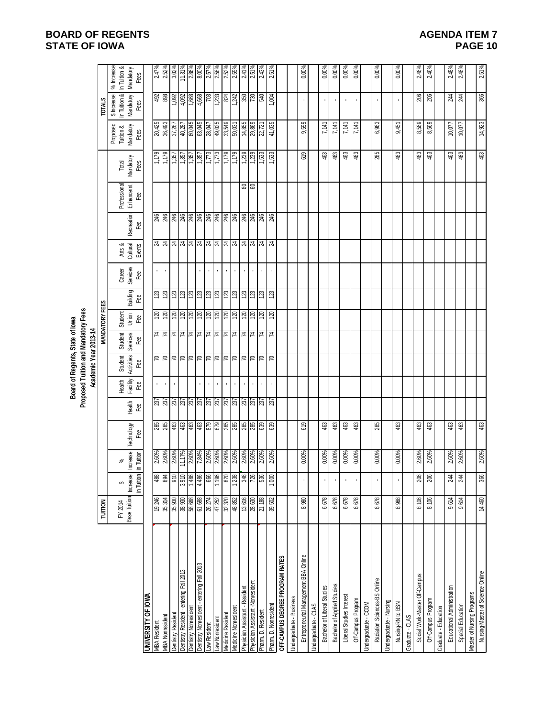# **BOARD OF REGENTS STATE OF IOWA**

| <b>AGENDA ITEM 7</b> |  |
|----------------------|--|
| PAGE 10              |  |

|                                              |                                  |            |                                                  |                                   |                                           |                    | Board of Regents, State of lowa     |                             |                       |                 |                    |                                                                                                                                                                                                                                                                                                                                                                                              |                                                                                                                 |                    |                                                                     |                                                                         |                                                                                                                       |                                                                           |
|----------------------------------------------|----------------------------------|------------|--------------------------------------------------|-----------------------------------|-------------------------------------------|--------------------|-------------------------------------|-----------------------------|-----------------------|-----------------|--------------------|----------------------------------------------------------------------------------------------------------------------------------------------------------------------------------------------------------------------------------------------------------------------------------------------------------------------------------------------------------------------------------------------|-----------------------------------------------------------------------------------------------------------------|--------------------|---------------------------------------------------------------------|-------------------------------------------------------------------------|-----------------------------------------------------------------------------------------------------------------------|---------------------------------------------------------------------------|
|                                              |                                  |            |                                                  |                                   |                                           |                    | Proposed Tuition and Mandatory Fees |                             |                       |                 |                    |                                                                                                                                                                                                                                                                                                                                                                                              |                                                                                                                 |                    |                                                                     |                                                                         |                                                                                                                       |                                                                           |
|                                              |                                  |            |                                                  |                                   |                                           |                    | Academic Year 2013-14               |                             |                       |                 |                    |                                                                                                                                                                                                                                                                                                                                                                                              |                                                                                                                 |                    |                                                                     |                                                                         |                                                                                                                       |                                                                           |
|                                              | <b>TUITION</b>                   |            |                                                  |                                   |                                           |                    |                                     |                             | <b>MANDATORY FEES</b> |                 |                    |                                                                                                                                                                                                                                                                                                                                                                                              |                                                                                                                 |                    |                                                                     |                                                                         | <b>TOTALS</b>                                                                                                         |                                                                           |
|                                              |                                  |            |                                                  |                                   |                                           |                    |                                     |                             |                       |                 |                    |                                                                                                                                                                                                                                                                                                                                                                                              |                                                                                                                 |                    |                                                                     | Proposed                                                                | \$ Increase                                                                                                           | $%$ Increase                                                              |
|                                              | Base Tuition Increase<br>FY 2014 | ↮          | వ్                                               | Technology                        |                                           | Facility<br>Health | Activities<br>Student               | <b>Services</b><br>Student  | Student<br>Union      | Building        | Career<br>Services | Recreation                                                                                                                                                                                                                                                                                                                                                                                   | Professional<br>Enhancemt                                                                                       | Mandatory<br>Total |                                                                     | Mandatory<br>Tuition &                                                  | in Tuition &<br>Mandatory                                                                                             | In Tuition &<br>Mandatory                                                 |
|                                              |                                  | in Tuition | Increase<br>in Tuition                           | Fee                               | Health<br>Fee                             | Fee                | Fee                                 | Еeе                         | Fee                   | Fee             | Fee                | Fæ<br>Arts &<br>Cultural<br>Events                                                                                                                                                                                                                                                                                                                                                           | Fee                                                                                                             | Fees               |                                                                     | Fees                                                                    | Fees                                                                                                                  | Fees                                                                      |
| <b>UNIVERSITY OF IOWA</b>                    |                                  |            |                                                  |                                   |                                           |                    |                                     |                             |                       |                 |                    |                                                                                                                                                                                                                                                                                                                                                                                              |                                                                                                                 |                    |                                                                     |                                                                         |                                                                                                                       |                                                                           |
| <b>MBA Resident</b>                          | 19,246                           | 488        |                                                  |                                   |                                           |                    |                                     |                             |                       |                 |                    |                                                                                                                                                                                                                                                                                                                                                                                              |                                                                                                                 |                    |                                                                     | 20,425                                                                  |                                                                                                                       |                                                                           |
| <b>MBA Nonresident</b>                       | 35,314                           | 894        | 2.60%<br>2.60%                                   | 8 8 9 9 9 9 8 8 8 8 8 8 8 8 8 8 8 | $\frac{237}{237}$                         |                    | <u>RRRRRRRRRRRRRR</u>               | <u> 국 국 국 국 국 국 국 국 국 국</u> | 38222                 | ន ន ន ន ន ន ន   |                    | $\frac{1}{3} \frac{1}{3} \frac{1}{3} \frac{1}{3} \frac{1}{3} \frac{1}{3} \frac{1}{3} \frac{1}{3} \frac{1}{3} \frac{1}{3} \frac{1}{3} \frac{1}{3} \frac{1}{3} \frac{1}{3} \frac{1}{3} \frac{1}{3} \frac{1}{3} \frac{1}{3} \frac{1}{3} \frac{1}{3} \frac{1}{3} \frac{1}{3} \frac{1}{3} \frac{1}{3} \frac{1}{3} \frac{1}{3} \frac{1}{3} \frac{1}{3} \frac{1}{3} \frac{1}{3} \frac{1}{3} \frac{$ | $\frac{16}{10}$ $\frac{16}{10}$ $\frac{16}{10}$ $\frac{16}{10}$ $\frac{16}{10}$ $\frac{16}{10}$ $\frac{16}{10}$ |                    | $\frac{157}{1,357}$<br>$\frac{1357}{1,357}$<br>$\frac{1357}{1,357}$ |                                                                         | $\begin{array}{r} 492 \\ 898 \\ 1,092 \\ \hline 1,092 \\ 4,668 \\ \hline 1,668 \\ \hline 1,603 \\ \hline \end{array}$ | $2.47\%$<br>$2.52\%$                                                      |
| <b>Dentistry Resident</b>                    |                                  | 910        |                                                  |                                   | ន្ត្រី ន្ត្រី ន្ត្រី ន្ត្រី ន្ត្រី ន្ត្រី |                    |                                     |                             |                       |                 |                    |                                                                                                                                                                                                                                                                                                                                                                                              |                                                                                                                 |                    |                                                                     | $\frac{36,493}{37,287}$ $\frac{37,287}{40,287}$ $\frac{60,045}{63,045}$ |                                                                                                                       | $\frac{3.02\%}{11.31\%}\n \frac{17.31\%}{2.86\%}\n \frac{2.86\%}{2.57\%}$ |
| Dentistry Resident - entering Fall 2013      | 35,930<br>38,930                 | 3,910      |                                                  |                                   |                                           |                    |                                     |                             |                       |                 |                    |                                                                                                                                                                                                                                                                                                                                                                                              |                                                                                                                 |                    |                                                                     |                                                                         |                                                                                                                       |                                                                           |
| <b>Dentistry Nonresident</b>                 | 58,688                           | 1,486      |                                                  |                                   |                                           |                    |                                     |                             |                       |                 |                    |                                                                                                                                                                                                                                                                                                                                                                                              |                                                                                                                 |                    |                                                                     |                                                                         |                                                                                                                       |                                                                           |
| Sc.02 Ile a Guinante - entering Fall 2013    | 61,688                           | 4,486      | $\frac{2.60\%}{11.17\%}\n \frac{11.7\%}{2.60\%}$ |                                   |                                           |                    |                                     |                             |                       |                 |                    |                                                                                                                                                                                                                                                                                                                                                                                              |                                                                                                                 |                    |                                                                     |                                                                         |                                                                                                                       |                                                                           |
| aw Resident                                  | 26,274                           | 666        |                                                  |                                   |                                           |                    |                                     |                             | 120                   |                 |                    |                                                                                                                                                                                                                                                                                                                                                                                              |                                                                                                                 |                    | 1,773                                                               | 28,047                                                                  |                                                                                                                       |                                                                           |
| aw Nonresident                               | 47,252                           | 1,196      | 2.60%                                            |                                   |                                           | $\bar{1}$          |                                     |                             | 120                   | 123             |                    |                                                                                                                                                                                                                                                                                                                                                                                              |                                                                                                                 |                    | 1,773                                                               | 49,025                                                                  | 1,233                                                                                                                 | 2.58%                                                                     |
| ledicine Resident                            | 32,370                           | 820        | 2.60%                                            |                                   |                                           | ×.                 |                                     |                             | $\frac{8}{20}$        | $\frac{23}{23}$ |                    |                                                                                                                                                                                                                                                                                                                                                                                              | 246                                                                                                             |                    | 621'L                                                               | 33,549                                                                  | 824                                                                                                                   | $\frac{2.52\%}{2.55\%}$                                                   |
| Aedicine Nonresident                         | 48,852                           | 1,238      |                                                  |                                   |                                           |                    |                                     |                             |                       |                 |                    |                                                                                                                                                                                                                                                                                                                                                                                              |                                                                                                                 |                    | $\frac{1}{179}$                                                     |                                                                         |                                                                                                                       |                                                                           |
| Physician Assistant - Resident               | 13,616                           | 346        | 2.60%<br>2.60%                                   |                                   |                                           | $\cdot$            |                                     |                             | $\frac{8}{2}$         | $\frac{23}{2}$  |                    |                                                                                                                                                                                                                                                                                                                                                                                              | $rac{46}{246}$                                                                                                  | 88                 | $1,239$<br>$1,239$                                                  | 14,855                                                                  |                                                                                                                       | $\frac{2.41\%}{2.51\%}$                                                   |
| <sup>p</sup> hysician Assistant -Nonresident | 28,630                           | 726        |                                                  |                                   | $\frac{27}{237}$                          |                    |                                     | 74                          |                       |                 |                    |                                                                                                                                                                                                                                                                                                                                                                                              |                                                                                                                 |                    |                                                                     | 29,869                                                                  | ន្ត្ <mark>ទ្រ</mark><br>ន                                                                                            |                                                                           |
| harm. D. Resident                            | 21,188                           | 536        | 2.60%                                            |                                   |                                           |                    |                                     |                             | 0Z                    | 123             |                    |                                                                                                                                                                                                                                                                                                                                                                                              | 246                                                                                                             |                    | 1,533                                                               | 22,721                                                                  |                                                                                                                       | 2.43%                                                                     |
| Pharm. D. Nonresident                        | 39,502                           | 1,000      | 2.60%                                            | 63                                | 237                                       |                    | R                                   | $\mathcal{L}$               | 120                   | 123             |                    | $\overline{24}$                                                                                                                                                                                                                                                                                                                                                                              | 246                                                                                                             |                    | 1,533                                                               | 41,035                                                                  | 1,004                                                                                                                 | 2.51%                                                                     |
| OFF-CAMPUS DEGREE PROGRAM RATES              |                                  |            |                                                  |                                   |                                           |                    |                                     |                             |                       |                 |                    |                                                                                                                                                                                                                                                                                                                                                                                              |                                                                                                                 |                    |                                                                     |                                                                         |                                                                                                                       |                                                                           |
| Indergraduate - Business                     |                                  |            |                                                  |                                   |                                           |                    |                                     |                             |                       |                 |                    |                                                                                                                                                                                                                                                                                                                                                                                              |                                                                                                                 |                    |                                                                     |                                                                         |                                                                                                                       |                                                                           |
| Entrepreneurial Management-BBA Online        | 8,980                            |            | 0.00%                                            | 619                               |                                           |                    |                                     |                             |                       |                 |                    |                                                                                                                                                                                                                                                                                                                                                                                              |                                                                                                                 |                    | 619                                                                 | 9,599                                                                   |                                                                                                                       | 0.00%                                                                     |
| ndergraduate - CLAS                          |                                  |            |                                                  |                                   |                                           |                    |                                     |                             |                       |                 |                    |                                                                                                                                                                                                                                                                                                                                                                                              |                                                                                                                 |                    |                                                                     |                                                                         |                                                                                                                       |                                                                           |
| Bachelor of Liberal Studies                  | 6,678                            | ٠          | 0.00%                                            | \$3                               |                                           |                    |                                     |                             |                       |                 |                    |                                                                                                                                                                                                                                                                                                                                                                                              |                                                                                                                 |                    | 463                                                                 | 7,141                                                                   | $\cdot$                                                                                                               | 0.00%                                                                     |
| Bachelor of Applied Studies                  | 6,678                            | ı          | 0.00%                                            | 463                               |                                           |                    |                                     |                             |                       |                 |                    |                                                                                                                                                                                                                                                                                                                                                                                              |                                                                                                                 |                    | 463                                                                 | 7,141                                                                   | $\blacksquare$                                                                                                        | $0.00\%$                                                                  |
| Liberal Studies Interest                     | 6,678                            |            | 0.00%                                            | 463                               |                                           |                    |                                     |                             |                       |                 |                    |                                                                                                                                                                                                                                                                                                                                                                                              |                                                                                                                 |                    | 463                                                                 | 7,141                                                                   | $\blacksquare$                                                                                                        | $0.00\%$                                                                  |
| Off-Campus Program                           | 6,678                            |            | 0.00%                                            | 463                               |                                           |                    |                                     |                             |                       |                 |                    |                                                                                                                                                                                                                                                                                                                                                                                              |                                                                                                                 |                    | 463                                                                 | 7,141                                                                   |                                                                                                                       | 0.00%                                                                     |
| Indergraduate - CCOM                         |                                  |            |                                                  |                                   |                                           |                    |                                     |                             |                       |                 |                    |                                                                                                                                                                                                                                                                                                                                                                                              |                                                                                                                 |                    |                                                                     |                                                                         |                                                                                                                       |                                                                           |
| Radiation Sciences-BS Online                 | 6,678                            |            | 0.00%                                            | 285                               |                                           |                    |                                     |                             |                       |                 |                    |                                                                                                                                                                                                                                                                                                                                                                                              |                                                                                                                 |                    | 285                                                                 | 6,963                                                                   |                                                                                                                       | $0.00\%$                                                                  |
| Indergraduate - Nursing                      |                                  |            |                                                  |                                   |                                           |                    |                                     |                             |                       |                 |                    |                                                                                                                                                                                                                                                                                                                                                                                              |                                                                                                                 |                    |                                                                     |                                                                         |                                                                                                                       |                                                                           |
| Nursing-RN to BSN                            | 8,988                            |            | 0.00%                                            | 463                               |                                           |                    |                                     |                             |                       |                 |                    |                                                                                                                                                                                                                                                                                                                                                                                              |                                                                                                                 |                    | 463                                                                 | 9,451                                                                   |                                                                                                                       | $0.00\%$                                                                  |
| GAJO - GLAS                                  |                                  |            |                                                  |                                   |                                           |                    |                                     |                             |                       |                 |                    |                                                                                                                                                                                                                                                                                                                                                                                              |                                                                                                                 |                    |                                                                     |                                                                         |                                                                                                                       |                                                                           |
| Social Work-Master Off-Campus                | 8,106                            | 206        | 2.60%                                            | $\mathfrak{S}$                    |                                           |                    |                                     |                             |                       |                 |                    |                                                                                                                                                                                                                                                                                                                                                                                              |                                                                                                                 |                    | 463                                                                 | 8,569                                                                   | 206                                                                                                                   | 2.46%                                                                     |
| Off-Campus Program                           | 8,106                            | 206        | 2.60%                                            | 463                               |                                           |                    |                                     |                             |                       |                 |                    |                                                                                                                                                                                                                                                                                                                                                                                              |                                                                                                                 |                    | 463                                                                 | 8,569                                                                   | 206                                                                                                                   | 2.46%                                                                     |
| Graduate - Education                         |                                  |            |                                                  |                                   |                                           |                    |                                     |                             |                       |                 |                    |                                                                                                                                                                                                                                                                                                                                                                                              |                                                                                                                 |                    |                                                                     |                                                                         |                                                                                                                       |                                                                           |
| Educational Administration                   | 9,614                            | 244        | 2.60%                                            | 463                               |                                           |                    |                                     |                             |                       |                 |                    |                                                                                                                                                                                                                                                                                                                                                                                              |                                                                                                                 |                    | 463                                                                 | 10,077                                                                  | 244                                                                                                                   | 2.48%                                                                     |
| Special Education                            | 9,614                            | 244        | 2.60%                                            | 463                               |                                           |                    |                                     |                             |                       |                 |                    |                                                                                                                                                                                                                                                                                                                                                                                              |                                                                                                                 |                    | \$                                                                  | 10,077                                                                  | 244                                                                                                                   | 2.48%                                                                     |
| <b>Master of Nursing Programs</b>            |                                  |            |                                                  |                                   |                                           |                    |                                     |                             |                       |                 |                    |                                                                                                                                                                                                                                                                                                                                                                                              |                                                                                                                 |                    |                                                                     |                                                                         |                                                                                                                       |                                                                           |
| Nursing-Master of Science Online             | 14,460                           | 366        | 2.60%                                            | 463                               |                                           |                    |                                     |                             |                       |                 |                    |                                                                                                                                                                                                                                                                                                                                                                                              |                                                                                                                 |                    | 463                                                                 | 14,923                                                                  | 366                                                                                                                   | 2.51%                                                                     |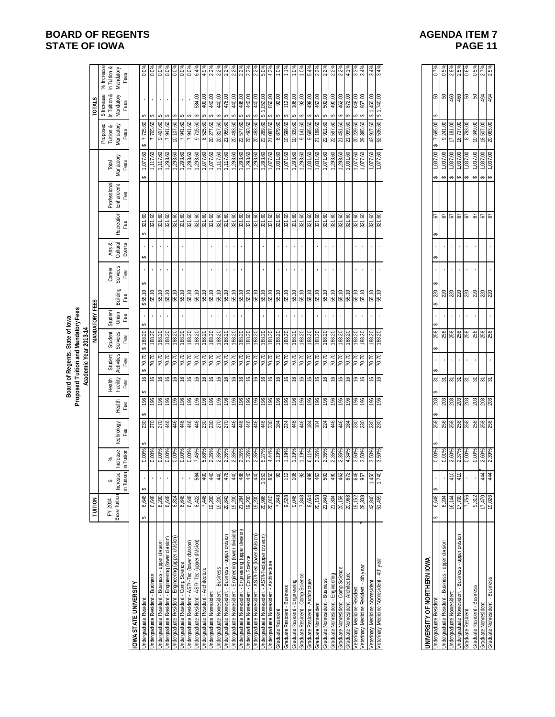|                                                                                                                |                                   |                                             |                                  |                                    |                                                                                                                                             |                               |                              | Proposed Tuition and Mandatory Fees<br>Board of Regents, State of lowa<br>Academic Year 2013-14 |                             |                 |                           |                              |                                                                         |                                  |                                      |                                                                                            |                                                  |                                                                                                                                                                                                                                                                                                           |
|----------------------------------------------------------------------------------------------------------------|-----------------------------------|---------------------------------------------|----------------------------------|------------------------------------|---------------------------------------------------------------------------------------------------------------------------------------------|-------------------------------|------------------------------|-------------------------------------------------------------------------------------------------|-----------------------------|-----------------|---------------------------|------------------------------|-------------------------------------------------------------------------|----------------------------------|--------------------------------------|--------------------------------------------------------------------------------------------|--------------------------------------------------|-----------------------------------------------------------------------------------------------------------------------------------------------------------------------------------------------------------------------------------------------------------------------------------------------------------|
|                                                                                                                | <b>TUITION</b>                    |                                             |                                  |                                    |                                                                                                                                             |                               |                              |                                                                                                 | <b>MANDATORY FEES</b>       |                 |                           |                              |                                                                         |                                  |                                      |                                                                                            | <b>TOTALS</b>                                    |                                                                                                                                                                                                                                                                                                           |
|                                                                                                                | Base Tuition<br>FY 2014           | Increase<br>in Tuition<br>↮                 | Increase<br>in Tuition<br>శ      | Technology<br>Fee                  | Health<br>Fee                                                                                                                               | Health<br>Facility<br>Fee     | Student<br>Activities<br>Fee | Student<br>Services<br>Fee                                                                      | Student<br>Union<br>Fee     | Building<br>Fee | Career<br>Services<br>Fee | Arts &<br>Cultural<br>Events | Recreation<br>Fee                                                       | Professional<br>Enhancemt<br>Fee | Mandatory<br>Total<br>Fees           | Proposed<br>Tuition &<br>Mandatory<br>Fees                                                 | \$ Increase<br>in Tuition &<br>Mandatory<br>Fees | % Increase<br>In Tuition &<br>Mandatory<br>Fees                                                                                                                                                                                                                                                           |
| OWA STATE UNIVERSITY                                                                                           |                                   |                                             |                                  |                                    |                                                                                                                                             |                               |                              |                                                                                                 |                             |                 |                           |                              |                                                                         |                                  |                                      |                                                                                            |                                                  |                                                                                                                                                                                                                                                                                                           |
| <b>Jndergraduate Resident</b>                                                                                  | 6,648<br>မာ                       |                                             | $0.00\%$<br>$0.00\%$             |                                    |                                                                                                                                             | $\widetilde{\mathbb{G}}$      |                              |                                                                                                 | $\cdot$                     | 55.10<br>↮      |                           | ↮                            | ↮                                                                       |                                  |                                      | 7,725.60                                                                                   | ↮                                                |                                                                                                                                                                                                                                                                                                           |
| Jndergraduate Resident - Business                                                                              | 6,648                             |                                             |                                  |                                    |                                                                                                                                             |                               |                              | $$188.20$<br>$188.20$                                                                           |                             | 55.10           |                           |                              | 321.60<br>321.60                                                        |                                  | 1,077.60<br>1,117.60                 | 7,765.60                                                                                   | ↮                                                |                                                                                                                                                                                                                                                                                                           |
| Indergraduate Resident - Business - upper division                                                             | $\frac{8,290}{6,648}$             |                                             | 0.00%                            |                                    | $\frac{1}{2}$ $\frac{1}{2}$ $\frac{1}{2}$ $\frac{1}{2}$ $\frac{1}{2}$ $\frac{1}{2}$ $\frac{1}{2}$ $\frac{1}{2}$ $\frac{1}{2}$ $\frac{1}{2}$ | $ e $ $e$ $ e $ $e$ $ e $ $e$ | <u>s s s s s s s s s s</u>   | 188.20<br>188.20<br>188.20<br>188.20                                                            | $\cdot$                     | 55.10           | $\cdot$                   | $\mathbf{r}$                 | $\frac{321.60}{321.60}$                                                 |                                  | $\frac{1,117.60}{1,293.60}$          | 9,407.60                                                                                   | $\mathbf{r}$                                     | $\frac{8}{100}$ $\frac{8}{100}$ $\frac{8}{100}$ $\frac{8}{100}$ $\frac{8}{100}$ $\frac{8}{100}$ $\frac{8}{100}$ $\frac{8}{100}$ $\frac{8}{100}$ $\frac{8}{100}$ $\frac{8}{100}$ $\frac{8}{100}$ $\frac{8}{100}$ $\frac{8}{100}$ $\frac{8}{100}$ $\frac{8}{100}$ $\frac{8}{100}$ $\frac{8}{100}$ $\frac{8$ |
| Jndergraduate Resident - Engineering (lower division)<br>Jndergraduate Resident - Engineering (upper division) |                                   |                                             |                                  |                                    |                                                                                                                                             |                               |                              |                                                                                                 | $\mathbf{r}$                | 55.10           | $\sim$                    | $\mathbf{r}$                 |                                                                         |                                  |                                      | 7,941.60<br>10,107.60                                                                      | $\mathbf{r}$                                     |                                                                                                                                                                                                                                                                                                           |
|                                                                                                                |                                   |                                             |                                  |                                    |                                                                                                                                             |                               |                              |                                                                                                 | ¥,                          | 55.10           | ¥,                        | ¥,                           |                                                                         |                                  |                                      |                                                                                            | ¥,                                               |                                                                                                                                                                                                                                                                                                           |
| Jndergraduate Resident - Comp Science<br>Jndergraduate Resident - AST/I-Tec (lower division)                   | 6,648                             |                                             | 0.00%<br>0.00%<br>7.45%          |                                    |                                                                                                                                             |                               |                              |                                                                                                 |                             | 55.10           |                           |                              | 37.60<br>37.50<br>37.50                                                 |                                  | $\frac{1,293.60}{1,293.60}$          | $\frac{7,941.60}{7,941.60}$                                                                |                                                  |                                                                                                                                                                                                                                                                                                           |
| Indergraduate Resident - AST/I-Tec (upper division)                                                            | 8,422                             | 584                                         |                                  |                                    |                                                                                                                                             |                               |                              | 188.20                                                                                          |                             | 55.10           |                           |                              |                                                                         |                                  | 1,293.60                             | 9,715.60                                                                                   | 584.00                                           |                                                                                                                                                                                                                                                                                                           |
| <b>Jndergraduate Resident - Architecture</b><br>Indergraduate Nonresident                                      | 7,448                             | $rac{40}{40}$                               | 68%<br>0.35%<br>0.35%            |                                    | $\frac{86}{100}$                                                                                                                            | $\frac{9}{16}$                | $\frac{6}{10}$               | 188.20                                                                                          |                             | 55.10<br>55.10  |                           |                              | 321.60<br>321.60                                                        |                                  | 1,077.60                             | 8,525.60<br>20,277.60                                                                      | 400.00<br>440.00                                 | $4.9%$<br>$2.2%$<br>$2.2%$<br>$2.2%$                                                                                                                                                                                                                                                                      |
|                                                                                                                |                                   |                                             |                                  |                                    |                                                                                                                                             |                               |                              |                                                                                                 | $\mathcal{A}^{\mathcal{A}}$ |                 | $\sim$<br>$\mathbf{r}$    |                              |                                                                         |                                  |                                      |                                                                                            | 440.00<br>မာ                                     |                                                                                                                                                                                                                                                                                                           |
| Jndergraduate Nonresident - Business<br>Jndergraduate Nonresident - Business - upper division                  | 19,200<br>20,842                  | 478                                         |                                  |                                    | $\frac{96}{196}$                                                                                                                            | $\frac{3}{2}$                 | $\frac{20.70}{70.70}$        | 188.20                                                                                          | $\bar{\mathbf{r}}$          | 55.10           | $\bar{\phantom{a}}$       | ×,                           | 321.60<br>321.60                                                        |                                  | 1,117.60<br>1,117.60                 | 20,317.60                                                                                  | 478.00                                           |                                                                                                                                                                                                                                                                                                           |
| Indergraduate Nonresident - Engineering (lower division)                                                       | 19,200                            | 440                                         | 2.35%                            |                                    |                                                                                                                                             | $\mathfrak{g}_\dagger$        | 02'02                        | 188.20                                                                                          | $\epsilon$                  | 55.10           | $\mathbf{r}$              | $\blacksquare$               | 321.60                                                                  |                                  | 1,293.60                             | 20,493.60                                                                                  | 440.00<br>↮                                      |                                                                                                                                                                                                                                                                                                           |
| Indergraduate Nonresident - Engineering (upper division)                                                       | 21,284                            |                                             |                                  |                                    |                                                                                                                                             |                               |                              | 188.20                                                                                          |                             | 55.10           |                           |                              | $\frac{321.60}{321.60}$                                                 |                                  | 1,293.60                             | 22,577.60                                                                                  | 488.00<br>↮                                      |                                                                                                                                                                                                                                                                                                           |
| <b>Jndergraduate Nonresident - Comp Science</b>                                                                |                                   |                                             |                                  |                                    |                                                                                                                                             |                               |                              |                                                                                                 |                             | 55.10           |                           |                              |                                                                         |                                  |                                      | 20,493.60                                                                                  | S                                                |                                                                                                                                                                                                                                                                                                           |
| Jndergraduate Nonresident - AST/I-Tec (lower division)                                                         | $\frac{19,200}{20,996}$           | $\frac{48}{9}$ $\frac{42}{9}$ $\frac{1}{9}$ | 2.35%<br>2.35%<br>2.35%<br>5.27% |                                    | $\frac{18}{2}$ $\frac{18}{2}$ $\frac{18}{2}$ $\frac{18}{2}$                                                                                 | e e e e                       |                              | 188.20                                                                                          |                             | 55.10           |                           |                              |                                                                         |                                  | 1,293.60<br>1,293.60                 | 20,493.60                                                                                  | 440.00<br>↮                                      |                                                                                                                                                                                                                                                                                                           |
| Jndergraduate Nonresident - AST/I-Tec (upper division)                                                         |                                   |                                             |                                  |                                    |                                                                                                                                             |                               |                              |                                                                                                 |                             |                 |                           |                              |                                                                         |                                  |                                      | 22,289.60                                                                                  | 850.00<br>\$1,052.00                             |                                                                                                                                                                                                                                                                                                           |
| Jndergraduate Nonresident - Architecture<br>Graduate Resident                                                  | $\frac{20,010}{7,848}$<br>9,528   | 850<br>92                                   | 4.44%<br>1.19%                   |                                    | 9899                                                                                                                                        | 999                           | <u>kisisisisisis</u>         | 188.20<br>188.20<br>188.20                                                                      |                             | 55.10           |                           |                              | $\frac{321.60}{321.60}$ $\frac{321.60}{321.60}$ $\frac{321.60}{321.60}$ |                                  | 1,077.60                             | 21,087.60<br>8,879.60                                                                      | 92.00<br>↮<br>↮                                  |                                                                                                                                                                                                                                                                                                           |
| Graduate Resident - Business                                                                                   |                                   | 112                                         | 1.19%                            |                                    |                                                                                                                                             |                               |                              |                                                                                                 | $\mathbf{r}$                | 55.10           |                           |                              |                                                                         |                                  | $\frac{1,031.60}{1,071.60}$          | 10,599.60                                                                                  | 112.00<br>↔                                      |                                                                                                                                                                                                                                                                                                           |
| Graduate Resident - Engineering                                                                                | 9,046                             | 90                                          | 1.19%                            |                                    | 196                                                                                                                                         | $\frac{1}{2}$                 | 70.70                        | 188.20                                                                                          |                             | 55.10           |                           |                              | 321.60                                                                  |                                  | 1,293.60                             | 10,339.60                                                                                  | 106.00<br>↮                                      | 1.0%                                                                                                                                                                                                                                                                                                      |
| Sraduate Resident - Comp Science                                                                               | 7,848                             |                                             | 1.19%                            |                                    |                                                                                                                                             |                               | 0.07                         | 188.20                                                                                          |                             | 55.10           |                           |                              | 321.60                                                                  |                                  | 1,293.60                             | 9,141.60                                                                                   | 92.00<br>↮                                       | 1.0%                                                                                                                                                                                                                                                                                                      |
| Graduate Resident - Architecture                                                                               | 8,654                             | $\frac{88}{9}$                              | 6.11%                            |                                    | $\frac{98}{28}$                                                                                                                             | 99                            | $\frac{620}{100}$            | 188.20                                                                                          |                             | 55.10           |                           |                              | 321.60<br>321.60                                                        |                                  | $\frac{1,031.60}{1,031.60}$          | 9,685.60                                                                                   | 498.00<br>မာ                                     |                                                                                                                                                                                                                                                                                                           |
| Graduate Nonresident                                                                                           | 20,158                            |                                             | 2.35%                            |                                    |                                                                                                                                             | 999                           |                              |                                                                                                 |                             | 55.10           |                           |                              |                                                                         |                                  |                                      | 21,189.60                                                                                  | 462.00<br>မာ                                     |                                                                                                                                                                                                                                                                                                           |
| Graduate Nonresident - Business                                                                                | 21,840                            |                                             | 2.35%                            |                                    |                                                                                                                                             |                               | 70.70                        | 188.20                                                                                          | $\mathbf{r}$                | 55.10           | $\mathbf{r}$              |                              | 321.60                                                                  |                                  | 1,071.60                             | 22,911.60                                                                                  | 502.00<br>↮                                      |                                                                                                                                                                                                                                                                                                           |
| Sraduate Nonresident - Engineering                                                                             |                                   |                                             |                                  |                                    |                                                                                                                                             |                               |                              |                                                                                                 |                             | 55.10           |                           |                              |                                                                         |                                  | $\frac{1,293.60}{1,293.60}$          | 22,597.60                                                                                  | 490.00<br>↮                                      |                                                                                                                                                                                                                                                                                                           |
| Graduate Nonresident - Comp Science<br>Graduate Nonresident - Architecture                                     | $\frac{21,304}{20,158}$           | 8 \$ \$ \$                                  |                                  |                                    |                                                                                                                                             |                               | $\frac{20}{10}$              | 188.20<br>188.20                                                                                |                             |                 |                           |                              | $\frac{37.60}{37.50}$                                                   |                                  | 1,031.60                             | 21,451.60<br>21,999.60                                                                     | 462.00<br>မာ                                     | $\frac{88}{22\%}\times\frac{8}{22\%}\times\frac{8}{21\%}\times\frac{8}{1}$                                                                                                                                                                                                                                |
|                                                                                                                |                                   |                                             |                                  |                                    |                                                                                                                                             |                               |                              |                                                                                                 |                             | 55.10           |                           |                              |                                                                         |                                  |                                      |                                                                                            | 872.00                                           |                                                                                                                                                                                                                                                                                                           |
| /eterinary Medicine Resident - 4th year<br>Veterinary Medicine Resident                                        | 28,308<br>19, 152                 | 648<br>957                                  | 2.35%<br>2.35%<br>4.34%<br>3.50% |                                    | 58889                                                                                                                                       | 99999                         | 70.70<br>70.70               | 188.20                                                                                          |                             | 55.10<br>55.10  | $\mathbf{r}$              |                              | 321.60<br>321.60                                                        |                                  | 1,077.60<br>09:220                   | 20,229.60<br>29,385.60                                                                     | 648.00<br>00.796                                 | 3.4%<br>3.3%                                                                                                                                                                                                                                                                                              |
| Veterinary Medicine Nonresident                                                                                | 42,840                            | 1,450                                       | 3.50%                            |                                    | $\frac{96}{2}$                                                                                                                              | $\frac{9}{2}$                 | 70.70                        | 188.20                                                                                          | $\blacksquare$              | 55.10           | $\bar{1}$                 | $\blacksquare$               | $321,60$<br>$321,60$                                                    |                                  | 1,077.60                             | 43,917.60                                                                                  | \$1,450.00                                       | 3.4%                                                                                                                                                                                                                                                                                                      |
| Veterinary Medicine Nonresident - 4th year                                                                     | 51,459                            | 1,740                                       | 3.50%                            |                                    | 196                                                                                                                                         | $\frac{1}{2}$                 | 70.70                        | 188.20                                                                                          |                             |                 |                           |                              |                                                                         |                                  | 1,077.60                             | 52,536.60                                                                                  | \$1,740.00                                       | 3.4%                                                                                                                                                                                                                                                                                                      |
|                                                                                                                |                                   |                                             |                                  |                                    |                                                                                                                                             |                               |                              |                                                                                                 |                             |                 |                           |                              |                                                                         |                                  |                                      |                                                                                            |                                                  |                                                                                                                                                                                                                                                                                                           |
| UNIVERSITY OF NORTHERN IOWA                                                                                    |                                   |                                             |                                  |                                    |                                                                                                                                             |                               |                              |                                                                                                 |                             |                 |                           |                              |                                                                         |                                  |                                      |                                                                                            |                                                  |                                                                                                                                                                                                                                                                                                           |
| <b>Jndergraduate Resident</b>                                                                                  | 6,648<br>မာ                       | မာ                                          | 0.00%                            | 258                                | 203                                                                                                                                         | 5                             |                              | ↮                                                                                               |                             | 220             |                           | မာ                           | 5<br>ക                                                                  |                                  | 1,037.00                             | 7,685.00                                                                                   |                                                  |                                                                                                                                                                                                                                                                                                           |
| Jndergraduate Resident - Business - upper division                                                             | 8,204                             |                                             | 0.01%                            | ឌ <mark>ី ឌី ឌី ឌី ឌី ឌី ឌី</mark> | ន្ត្ <mark>រី</mark> ន្ត្រី  ន្ត្រី  ន្ត្រី  ន្ត្រី  ន្ត្រី                                                                                 | $\frac{5}{2}$ $\frac{5}{2}$   | $\epsilon$                   | <u>ឌូ ឌូ ឌូ ឌូ ឌូ ឌូ ឌូ ឌូ ឌូ ឌូ</u>                                                            |                             | ននននន           |                           |                              | $\frac{2}{9}$                                                           |                                  | 1,037.00<br>↮                        | 9,241.00                                                                                   | <mark>ႜ</mark> ႜႜႜၜ႞ၛႜၛႜၛႜၛႜ                     | $\frac{0.7\%}{0.5\%}$<br>$\frac{2.8\%}{2.5\%}$                                                                                                                                                                                                                                                            |
| Undergraduate Nonresident - Business - upper division<br>Undergraduate Nonresident                             | 16,144<br>$\frac{17,700}{17,700}$ | $\frac{410}{410}$                           | 2.60%<br>2.37%                   |                                    |                                                                                                                                             |                               |                              |                                                                                                 |                             |                 |                           |                              |                                                                         |                                  | $\frac{1,037.00}{1,037.00}$<br>မာမြာ | 17,181.00<br>18,737.00                                                                     |                                                  |                                                                                                                                                                                                                                                                                                           |
| Graduate Resident                                                                                              | 7,756                             |                                             | 0.00%                            |                                    |                                                                                                                                             | $\overline{\epsilon}$         |                              |                                                                                                 |                             |                 |                           |                              |                                                                         |                                  | 1,037.00<br>s                        | 8,793.00                                                                                   |                                                  | $0.6\%$                                                                                                                                                                                                                                                                                                   |
|                                                                                                                | 9,312                             |                                             |                                  |                                    |                                                                                                                                             |                               |                              |                                                                                                 |                             |                 | $\bar{1}$                 |                              |                                                                         |                                  | $\Theta$                             |                                                                                            |                                                  |                                                                                                                                                                                                                                                                                                           |
| Graduate Resident - Business<br>Graduate Nonresident<br>Graduate Nonresident - Business                        | 17,470                            | 444<br>444                                  | 0.00%<br>2.60%<br>2.39%          |                                    |                                                                                                                                             | $\frac{5}{2}$ $\frac{5}{2}$   | $\blacksquare$               |                                                                                                 |                             |                 |                           |                              | <b>2</b><br>29<br>29                                                    |                                  | $\frac{1,037.00}{1,037.00}$<br>မာ မာ | $\begin{array}{r}\n 10,349.00 \\  \hline\n 18,507.00 \\  \hline\n 20,063.00\n \end{array}$ |                                                  | 0.5%<br>2.7%<br>2.5%                                                                                                                                                                                                                                                                                      |
|                                                                                                                | 19,026                            |                                             |                                  |                                    |                                                                                                                                             |                               |                              |                                                                                                 |                             |                 |                           |                              |                                                                         |                                  |                                      |                                                                                            |                                                  |                                                                                                                                                                                                                                                                                                           |

# **BOARD OF REGENTS AGENUS AGENERY AGENUA ITEM 7 STATE OF IOWA** PAGE 11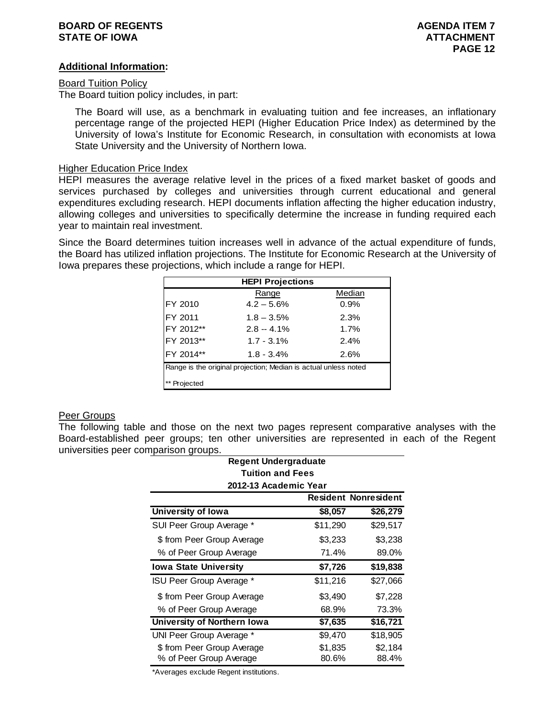### **BOARD OF REGENTS AGENUAL LIMIT CONSUMING A SERIES AGENDA ITEM 7 STATE OF IOWA ATTACHMENT**

### **Additional Information:**

### Board Tuition Policy

The Board tuition policy includes, in part:

The Board will use, as a benchmark in evaluating tuition and fee increases, an inflationary percentage range of the projected HEPI (Higher Education Price Index) as determined by the University of Iowa's Institute for Economic Research, in consultation with economists at Iowa State University and the University of Northern Iowa.

### Higher Education Price Index

HEPI measures the average relative level in the prices of a fixed market basket of goods and services purchased by colleges and universities through current educational and general expenditures excluding research. HEPI documents inflation affecting the higher education industry, allowing colleges and universities to specifically determine the increase in funding required each year to maintain real investment.

Since the Board determines tuition increases well in advance of the actual expenditure of funds, the Board has utilized inflation projections. The Institute for Economic Research at the University of Iowa prepares these projections, which include a range for HEPI.

|           | <b>HEPI Projections</b>                                         |        |
|-----------|-----------------------------------------------------------------|--------|
|           | Range                                                           | Median |
| FY 2010   | $4.2 - 5.6%$                                                    | 0.9%   |
| FY 2011   | $1.8 - 3.5%$                                                    | 2.3%   |
| FY 2012** | $2.8 - 4.1\%$                                                   | 1.7%   |
| FY 2013** | $1.7 - 3.1\%$                                                   | 2.4%   |
| FY 2014** | $1.8 - 3.4%$                                                    | 2.6%   |
|           | Range is the original projection; Median is actual unless noted |        |
| Projected |                                                                 |        |

### Peer Groups

The following table and those on the next two pages represent comparative analyses with the Board-established peer groups; ten other universities are represented in each of the Regent universities peer comparison groups.

| <b>Regent Undergraduate</b>     |          |                             |
|---------------------------------|----------|-----------------------------|
| <b>Tuition and Fees</b>         |          |                             |
| 2012-13 Academic Year           |          |                             |
|                                 |          | <b>Resident Nonresident</b> |
| University of Iowa              | \$8,057  | \$26,279                    |
| SUI Peer Group Average *        | \$11,290 | \$29,517                    |
| \$ from Peer Group Average      | \$3,233  | \$3,238                     |
| % of Peer Group Average         | 71.4%    | 89.0%                       |
| <b>Iowa State University</b>    | \$7,726  | \$19,838                    |
| <b>ISU Peer Group Average *</b> | \$11,216 | \$27,066                    |
| \$ from Peer Group Average      | \$3,490  | \$7,228                     |
| % of Peer Group Average         | 68.9%    | 73.3%                       |
| University of Northern Iowa     | \$7,635  | \$16,721                    |
| UNI Peer Group Average *        | \$9,470  | \$18,905                    |
| \$ from Peer Group Average      | \$1,835  | \$2,184                     |
| % of Peer Group Average         | 80.6%    | 88.4%                       |

\*Averages exclude Regent institutions.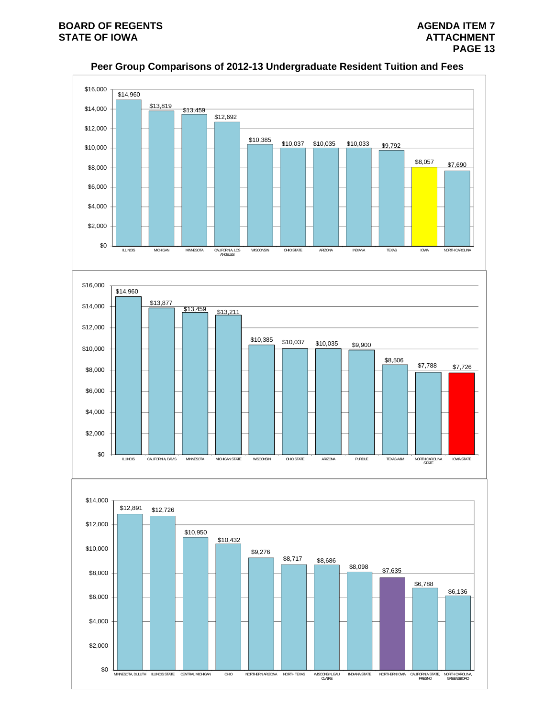

**Peer Group Comparisons of 2012-13 Undergraduate Resident Tuition and Fees**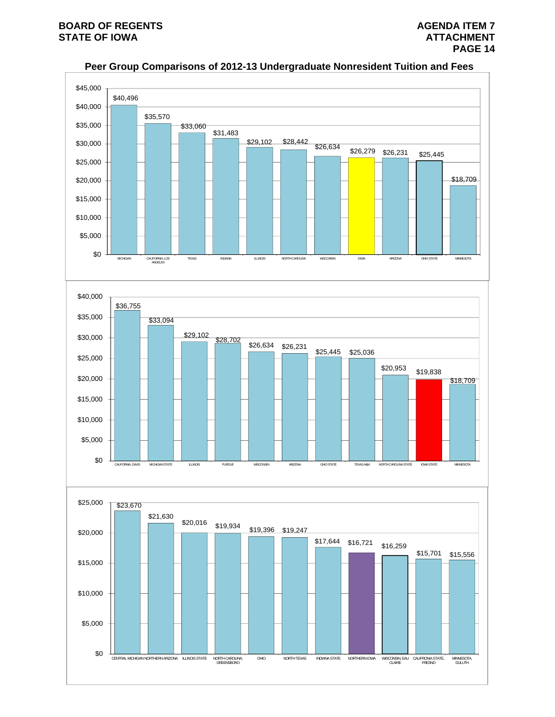\$0

CENTRAL MICHIGAN NORTHERN ARIZONA ILLINOIS STATE

NORTH CAROLINA,<br>GREENSBORO

OHIO NORTH TEXAS INDIANA STATE NORTHERN IOWA

CLAIRE CALIFRONIA STATE, FRESNO

MINNESOTA, DULUTH



# **Peer Group Comparisons of 2012-13 Undergraduate Nonresident Tuition and Fees**